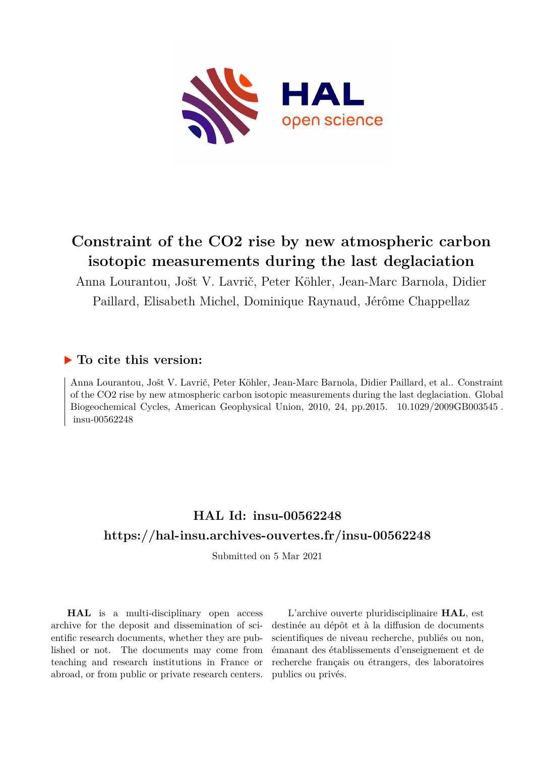

# **Constraint of the CO2 rise by new atmospheric carbon isotopic measurements during the last deglaciation**

Anna Lourantou, Jošt V. Lavrič, Peter Köhler, Jean-Marc Barnola, Didier Paillard, Elisabeth Michel, Dominique Raynaud, Jérôme Chappellaz

## **To cite this version:**

Anna Lourantou, Jošt V. Lavrič, Peter Köhler, Jean-Marc Barnola, Didier Paillard, et al.. Constraint of the CO2 rise by new atmospheric carbon isotopic measurements during the last deglaciation. Global Biogeochemical Cycles, American Geophysical Union, 2010, 24, pp.2015.  $10.1029/2009$ GB003545. insu-00562248

## **HAL Id: insu-00562248 <https://hal-insu.archives-ouvertes.fr/insu-00562248>**

Submitted on 5 Mar 2021

**HAL** is a multi-disciplinary open access archive for the deposit and dissemination of scientific research documents, whether they are published or not. The documents may come from teaching and research institutions in France or abroad, or from public or private research centers.

L'archive ouverte pluridisciplinaire **HAL**, est destinée au dépôt et à la diffusion de documents scientifiques de niveau recherche, publiés ou non, émanant des établissements d'enseignement et de recherche français ou étrangers, des laboratoires publics ou privés.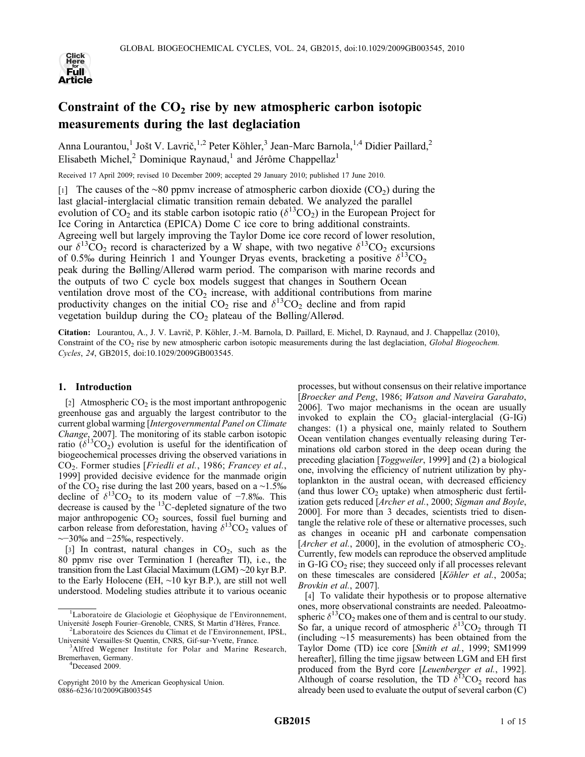

### Constraint of the  $CO<sub>2</sub>$  rise by new atmospheric carbon isotopic measurements during the last deglaciation

Anna Lourantou,<sup>1</sup> Jošt V. Lavrič,<sup>1,2</sup> Peter Köhler,<sup>3</sup> Jean-Marc Barnola,<sup>1,4</sup> Didier Paillard,<sup>2</sup> Elisabeth Michel,<sup>2</sup> Dominique Raynaud,<sup>1</sup> and Jérôme Chappellaz<sup>1</sup>

Received 17 April 2009; revised 10 December 2009; accepted 29 January 2010; published 17 June 2010.

[1] The causes of the ∼80 ppmv increase of atmospheric carbon dioxide (CO2) during the last glacial‐interglacial climatic transition remain debated. We analyzed the parallel evolution of CO<sub>2</sub> and its stable carbon isotopic ratio ( $\delta^{13}$ CO<sub>2</sub>) in the European Project for Ice Coring in Antarctica (EPICA) Dome C ice core to bring additional constraints. Agreeing well but largely improving the Taylor Dome ice core record of lower resolution, our  $\delta^{13}CO_2$  record is characterized by a W shape, with two negative  $\delta^{13}CO_2$  excursions of 0.5‰ during Heinrich 1 and Younger Dryas events, bracketing a positive  $\delta^{13}CO_2$ peak during the Bølling/Allerød warm period. The comparison with marine records and the outputs of two C cycle box models suggest that changes in Southern Ocean ventilation drove most of the  $CO<sub>2</sub>$  increase, with additional contributions from marine productivity changes on the initial  $CO_2$  rise and  $\delta^{13}CO_2$  decline and from rapid vegetation buildup during the  $CO<sub>2</sub>$  plateau of the Bølling/Allerød.

Citation: Lourantou, A., J. V. Lavrič, P. Köhler, J.‐M. Barnola, D. Paillard, E. Michel, D. Raynaud, and J. Chappellaz (2010), Constraint of the CO<sub>2</sub> rise by new atmospheric carbon isotopic measurements during the last deglaciation, *Global Biogeochem*. Cycles, 24, GB2015, doi:10.1029/2009GB003545.

#### 1. Introduction

[2] Atmospheric  $CO<sub>2</sub>$  is the most important anthropogenic greenhouse gas and arguably the largest contributor to the current global warming [Intergovernmental Panel on Climate Change, 2007]. The monitoring of its stable carbon isotopic ratio  $(\delta^{13}CO_2)$  evolution is useful for the identification of biogeochemical processes driving the observed variations in CO2. Former studies [Friedli et al., 1986; Francey et al., 1999] provided decisive evidence for the manmade origin of the CO<sub>2</sub> rise during the last 200 years, based on a ∼1.5‰ decline of  $\delta^{13}CO_2$  to its modern value of −7.8‰. This decrease is caused by the  $^{13}$ C-depleted signature of the two major anthropogenic  $CO<sub>2</sub>$  sources, fossil fuel burning and carbon release from deforestation, having  $\delta^{13}CO_2$  values of ∼−30‰ and −25‰, respectively.

[3] In contrast, natural changes in  $CO<sub>2</sub>$ , such as the 80 ppmv rise over Termination I (hereafter TI), i.e., the transition from the Last Glacial Maximum (LGM) ∼20 kyr B.P. to the Early Holocene (EH, ∼10 kyr B.P.), are still not well understood. Modeling studies attribute it to various oceanic

<sup>4</sup>Deceased 2009.

Copyright 2010 by the American Geophysical Union. 0886‐6236/10/2009GB003545

processes, but without consensus on their relative importance [Broecker and Peng, 1986; Watson and Naveira Garabato, 2006]. Two major mechanisms in the ocean are usually invoked to explain the  $CO<sub>2</sub>$  glacial-interglacial (G-IG) changes: (1) a physical one, mainly related to Southern Ocean ventilation changes eventually releasing during Terminations old carbon stored in the deep ocean during the preceding glaciation [Toggweiler, 1999] and (2) a biological one, involving the efficiency of nutrient utilization by phytoplankton in the austral ocean, with decreased efficiency (and thus lower  $CO<sub>2</sub>$  uptake) when atmospheric dust fertilization gets reduced [Archer et al., 2000; Sigman and Boyle, 2000]. For more than 3 decades, scientists tried to disentangle the relative role of these or alternative processes, such as changes in oceanic pH and carbonate compensation [Archer et al., 2000], in the evolution of atmospheric  $CO<sub>2</sub>$ . Currently, few models can reproduce the observed amplitude in G-IG  $CO<sub>2</sub>$  rise; they succeed only if all processes relevant on these timescales are considered [Köhler et al., 2005a; Brovkin et al., 2007].

[4] To validate their hypothesis or to propose alternative ones, more observational constraints are needed. Paleoatmospheric  $\delta^{13}CO_2$  makes one of them and is central to our study. So far, a unique record of atmospheric  $\delta^{13}CO_2$  through TI (including ∼15 measurements) has been obtained from the Taylor Dome (TD) ice core [Smith et al., 1999; SM1999 hereafter], filling the time jigsaw between LGM and EH first produced from the Byrd core [Leuenberger et al., 1992]. Although of coarse resolution, the TD  $\delta^{13}CO_2$  record has already been used to evaluate the output of several carbon (C)

<sup>&</sup>lt;sup>1</sup>Laboratoire de Glaciologie et Géophysique de l'Environnement, Université Joseph Fourier–Grenoble, CNRS, St Martin d'Hères, France. <sup>2</sup>

Laboratoire des Sciences du Climat et de l'Environnement, IPSL, Université Versailles‐St Quentin, CNRS, Gif‐sur‐Yvette, France. <sup>3</sup>

<sup>&</sup>lt;sup>3</sup>Alfred Wegener Institute for Polar and Marine Research, Bremerhaven, Germany. <sup>4</sup>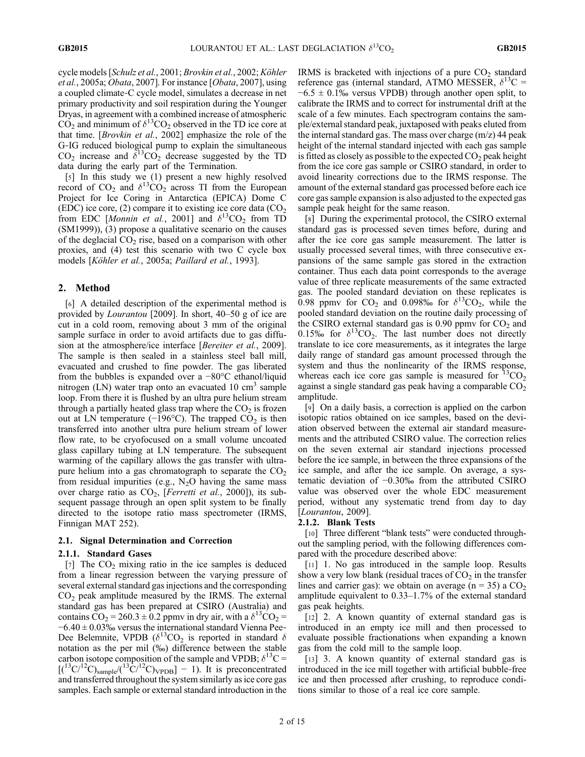cycle models [Schulz et al., 2001; Brovkin et al., 2002; Köhler et al., 2005a; Obata, 2007]. For instance [Obata, 2007], using a coupled climate‐C cycle model, simulates a decrease in net primary productivity and soil respiration during the Younger Dryas, in agreement with a combined increase of atmospheric  $CO<sub>2</sub>$  and minimum of  $\delta^{13}CO<sub>2</sub>$  observed in the TD ice core at that time. [Brovkin et al., 2002] emphasize the role of the G‐IG reduced biological pump to explain the simultaneous  $CO<sub>2</sub>$  increase and  $\delta^{13}CO<sub>2</sub>$  decrease suggested by the TD data during the early part of the Termination.

[5] In this study we (1) present a new highly resolved record of  $CO_2$  and  $\delta^{13}CO_2$  across TI from the European Project for Ice Coring in Antarctica (EPICA) Dome C (EDC) ice core, (2) compare it to existing ice core data  $(CO<sub>2</sub>)$ from EDC [Monnin et al., 2001] and  $\delta^{13}CO_2$  from TD (SM1999)), (3) propose a qualitative scenario on the causes of the deglacial  $CO<sub>2</sub>$  rise, based on a comparison with other proxies, and (4) test this scenario with two C cycle box models [Köhler et al., 2005a; Paillard et al., 1993].

#### 2. Method

[6] A detailed description of the experimental method is provided by Lourantou [2009]. In short, 40–50 g of ice are cut in a cold room, removing about 3 mm of the original sample surface in order to avoid artifacts due to gas diffusion at the atmosphere/ice interface [*Bereiter et al.*, 2009]. The sample is then sealed in a stainless steel ball mill, evacuated and crushed to fine powder. The gas liberated from the bubbles is expanded over a −80°C ethanol/liquid nitrogen (LN) water trap onto an evacuated  $10 \text{ cm}^3$  sample loop. From there it is flushed by an ultra pure helium stream through a partially heated glass trap where the  $CO<sub>2</sub>$  is frozen out at LN temperature (−196 $^{\circ}$ C). The trapped CO<sub>2</sub> is then transferred into another ultra pure helium stream of lower flow rate, to be cryofocused on a small volume uncoated glass capillary tubing at LN temperature. The subsequent warming of the capillary allows the gas transfer with ultrapure helium into a gas chromatograph to separate the  $CO<sub>2</sub>$ from residual impurities (e.g.,  $N_2O$  having the same mass over charge ratio as  $CO<sub>2</sub>$ , [Ferretti et al., 2000]), its subsequent passage through an open split system to be finally directed to the isotope ratio mass spectrometer (IRMS, Finnigan MAT 252).

#### 2.1. Signal Determination and Correction

#### 2.1.1. Standard Gases

[7] The  $CO<sub>2</sub>$  mixing ratio in the ice samples is deduced from a linear regression between the varying pressure of several external standard gas injections and the corresponding  $CO<sub>2</sub>$  peak amplitude measured by the IRMS. The external standard gas has been prepared at CSIRO (Australia) and contains  $CO_2 = 260.3 \pm 0.2$  ppmv in dry air, with a  $\delta^{13}CO_2 =$ −6.40 ± 0.03‰ versus the international standard Vienna Pee‐ Dee Belemnite, VPDB ( $\delta^{13}CO_2$  is reported in standard  $\delta$ notation as the per mil (‰) difference between the stable carbon isotope composition of the sample and VPDB;  $\delta^{13}C =$  $[(1^3C)^{12}C)_{sample}/(1^3C)^{12}C)_{VPDB}$ ] – 1). It is preconcentrated and transferred throughout the system similarly as ice core gas samples. Each sample or external standard introduction in the

IRMS is bracketed with injections of a pure  $CO<sub>2</sub>$  standard reference gas (internal standard, ATMO MESSER,  $\delta^{13}C =$  $-6.5 \pm 0.1\%$  versus VPDB) through another open split, to calibrate the IRMS and to correct for instrumental drift at the scale of a few minutes. Each spectrogram contains the sample/external standard peak, juxtaposed with peaks eluted from the internal standard gas. The mass over charge (m/z) 44 peak height of the internal standard injected with each gas sample is fitted as closely as possible to the expected  $CO<sub>2</sub>$  peak height from the ice core gas sample or CSIRO standard, in order to avoid linearity corrections due to the IRMS response. The amount of the external standard gas processed before each ice core gas sample expansion is also adjusted to the expected gas sample peak height for the same reason.

[8] During the experimental protocol, the CSIRO external standard gas is processed seven times before, during and after the ice core gas sample measurement. The latter is usually processed several times, with three consecutive expansions of the same sample gas stored in the extraction container. Thus each data point corresponds to the average value of three replicate measurements of the same extracted gas. The pooled standard deviation on these replicates is 0.98 ppmv for  $CO_2$  and 0.098% for  $\delta^{13}CO_2$ , while the pooled standard deviation on the routine daily processing of the CSIRO external standard gas is  $0.90$  ppmv for  $CO<sub>2</sub>$  and 0.15‰ for  $\delta^{13}CO_2$ . The last number does not directly translate to ice core measurements, as it integrates the large daily range of standard gas amount processed through the system and thus the nonlinearity of the IRMS response, whereas each ice core gas sample is measured for  ${}^{13}CO_2$ against a single standard gas peak having a comparable  $CO<sub>2</sub>$ amplitude.

[9] On a daily basis, a correction is applied on the carbon isotopic ratios obtained on ice samples, based on the deviation observed between the external air standard measurements and the attributed CSIRO value. The correction relies on the seven external air standard injections processed before the ice sample, in between the three expansions of the ice sample, and after the ice sample. On average, a systematic deviation of −0.30‰ from the attributed CSIRO value was observed over the whole EDC measurement period, without any systematic trend from day to day [Lourantou, 2009].

#### 2.1.2. Blank Tests

[10] Three different "blank tests" were conducted throughout the sampling period, with the following differences compared with the procedure described above:

[11] 1. No gas introduced in the sample loop. Results show a very low blank (residual traces of  $CO<sub>2</sub>$  in the transfer lines and carrier gas): we obtain on average ( $n = 35$ ) a  $CO<sub>2</sub>$ amplitude equivalent to 0.33–1.7% of the external standard gas peak heights.

[12] 2. A known quantity of external standard gas is introduced in an empty ice mill and then processed to evaluate possible fractionations when expanding a known gas from the cold mill to the sample loop.

[13] 3. A known quantity of external standard gas is introduced in the ice mill together with artificial bubble‐free ice and then processed after crushing, to reproduce conditions similar to those of a real ice core sample.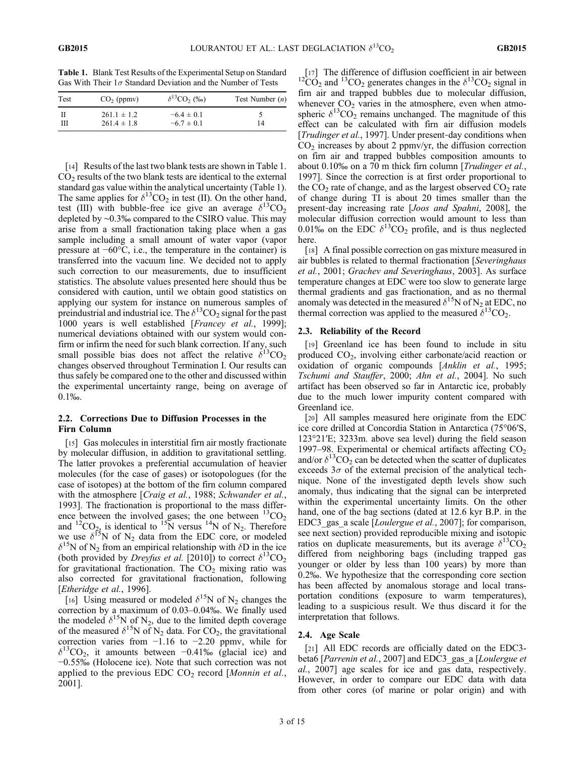Table 1. Blank Test Results of the Experimental Setup on Standard Gas With Their  $1\sigma$  Standard Deviation and the Number of Tests

| Test | $CO2$ (ppmv)                       | $\delta^{13}CO$ <sub>2</sub> (%) | Test Number $(n)$ |  |
|------|------------------------------------|----------------------------------|-------------------|--|
| Ш    | $261.1 \pm 1.2$<br>$261.4 \pm 1.8$ | $-6.4 \pm 0.1$<br>$-6.7 \pm 0.1$ | 14                |  |

[14] Results of the last two blank tests are shown in Table 1.  $CO<sub>2</sub>$  results of the two blank tests are identical to the external standard gas value within the analytical uncertainty (Table 1). The same applies for  $\delta^{13}CO_2$  in test (II). On the other hand, test (III) with bubble-free ice give an average  $\delta^{13}CO_2$ depleted by ∼0.3‰ compared to the CSIRO value. This may arise from a small fractionation taking place when a gas sample including a small amount of water vapor (vapor pressure at −60°C, i.e., the temperature in the container) is transferred into the vacuum line. We decided not to apply such correction to our measurements, due to insufficient statistics. The absolute values presented here should thus be considered with caution, until we obtain good statistics on applying our system for instance on numerous samples of preindustrial and industrial ice. The  $\delta^{13}CO_2$  signal for the past 1000 years is well established [Francey et al., 1999]; numerical deviations obtained with our system would confirm or infirm the need for such blank correction. If any, such small possible bias does not affect the relative  $\delta^{13}CO_2$ changes observed throughout Termination I. Our results can thus safely be compared one to the other and discussed within the experimental uncertainty range, being on average of 0.1‰.

#### 2.2. Corrections Due to Diffusion Processes in the Firn Column

[15] Gas molecules in interstitial firn air mostly fractionate by molecular diffusion, in addition to gravitational settling. The latter provokes a preferential accumulation of heavier molecules (for the case of gases) or isotopologues (for the case of isotopes) at the bottom of the firn column compared with the atmosphere [Craig et al., 1988; Schwander et al., 1993]. The fractionation is proportional to the mass difference between the involved gases; the one between  ${}^{13}CO_2$ and <sup>12</sup>CO<sub>22</sub> is identical to <sup>15</sup>N versus <sup>14</sup>N of N<sub>2</sub>. Therefore we use  $\delta^{15}N$  of N<sub>2</sub> data from the EDC core, or modeled  $\delta^{15}$ N of N<sub>2</sub> from an empirical relationship with  $\delta$ D in the ice (both provided by *Dreyfus et al.* [2010]) to correct  $\delta^{13}CO_2$ for gravitational fractionation. The  $CO<sub>2</sub>$  mixing ratio was also corrected for gravitational fractionation, following [Etheridge et al., 1996].

[16] Using measured or modeled  $\delta^{15}N$  of N<sub>2</sub> changes the correction by a maximum of 0.03–0.04‰. We finally used the modeled  $\delta^{15}N$  of N<sub>2</sub>, due to the limited depth coverage of the measured  $\delta^{15}N$  of  $N_2$  data. For CO<sub>2</sub>, the gravitational correction varies from −1.16 to −2.20 ppmv, while for  $\delta^{13}CO_2$ , it amounts between −0.41‰ (glacial ice) and −0.55‰ (Holocene ice). Note that such correction was not applied to the previous EDC  $CO<sub>2</sub>$  record [Monnin et al., 2001].

[17] The difference of diffusion coefficient in air between  ${}^{12}CO_2$  and  ${}^{13}CO_2$  generates changes in the  $\delta {}^{13}CO_2$  signal in firn air and trapped bubbles due to molecular diffusion, whenever  $CO<sub>2</sub>$  varies in the atmosphere, even when atmospheric  $\delta^{13}CO_2$  remains unchanged. The magnitude of this effect can be calculated with firn air diffusion models [Trudinger et al., 1997]. Under present-day conditions when  $CO<sub>2</sub>$  increases by about 2 ppmv/yr, the diffusion correction on firn air and trapped bubbles composition amounts to about 0.10‰ on a 70 m thick firn column [Trudinger et al., 1997]. Since the correction is at first order proportional to the  $CO<sub>2</sub>$  rate of change, and as the largest observed  $CO<sub>2</sub>$  rate of change during TI is about 20 times smaller than the present‐day increasing rate [Joos and Spahni, 2008], the molecular diffusion correction would amount to less than 0.01‰ on the EDC  $\delta^{13}CO_2$  profile, and is thus neglected here.

[18] A final possible correction on gas mixture measured in air bubbles is related to thermal fractionation [Severinghaus et al., 2001; Grachev and Severinghaus, 2003]. As surface temperature changes at EDC were too slow to generate large thermal gradients and gas fractionation, and as no thermal anomaly was detected in the measured  $\delta^{15}N$  of N<sub>2</sub> at EDC, no thermal correction was applied to the measured  $\delta^{13}CO_2$ .

#### 2.3. Reliability of the Record

[19] Greenland ice has been found to include in situ produced  $CO<sub>2</sub>$ , involving either carbonate/acid reaction or oxidation of organic compounds [Anklin et al., 1995; Tschumi and Stauffer, 2000; Ahn et al., 2004]. No such artifact has been observed so far in Antarctic ice, probably due to the much lower impurity content compared with Greenland ice.

[20] All samples measured here originate from the EDC ice core drilled at Concordia Station in Antarctica (75°06′S, 123°21′E; 3233m. above sea level) during the field season 1997–98. Experimental or chemical artifacts affecting  $CO<sub>2</sub>$ and/or  $\delta^{13}CO_2$  can be detected when the scatter of duplicates exceeds  $3\sigma$  of the external precision of the analytical technique. None of the investigated depth levels show such anomaly, thus indicating that the signal can be interpreted within the experimental uncertainty limits. On the other hand, one of the bag sections (dated at 12.6 kyr B.P. in the EDC3 gas a scale [Loulergue et al., 2007]; for comparison, see next section) provided reproducible mixing and isotopic ratios on duplicate measurements, but its average  $\delta^{13}CO_2$ differed from neighboring bags (including trapped gas younger or older by less than 100 years) by more than 0.2‰. We hypothesize that the corresponding core section has been affected by anomalous storage and local transportation conditions (exposure to warm temperatures), leading to a suspicious result. We thus discard it for the interpretation that follows.

#### 2.4. Age Scale

[21] All EDC records are officially dated on the EDC3beta6 [*Parrenin et al.*, 2007] and EDC3 gas a [Loulergue et al., 2007] age scales for ice and gas data, respectively. However, in order to compare our EDC data with data from other cores (of marine or polar origin) and with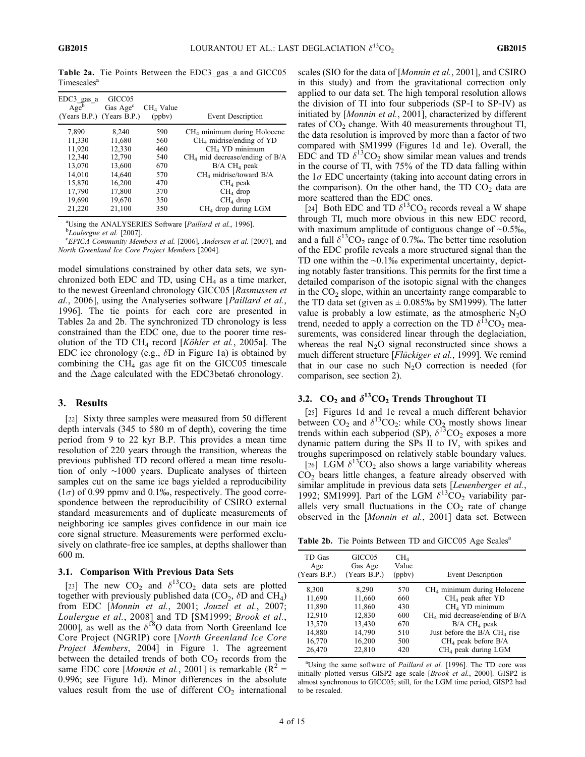Table 2a. Tie Points Between the EDC3\_gas\_a and GICC05 Timescales<sup>a</sup>

| GICC <sub>05</sub><br>Gas Age <sup>c</sup> | $CH4$ Value |                                         |
|--------------------------------------------|-------------|-----------------------------------------|
| (Years B.P.) (Years B.P.)                  | (ppby)      | <b>Event Description</b>                |
| 8.240                                      | 590         | CH <sub>4</sub> minimum during Holocene |
| 11,680                                     | 560         | $CH4$ midrise/ending of YD              |
| 12,330                                     | 460         | $CH4$ YD minimum                        |
| 12,790                                     | 540         | $CH4$ mid decrease/ending of B/A        |
| 13,600                                     | 670         | $B/A$ CH <sub>4</sub> peak              |
| 14,640                                     | 570         | CH <sub>4</sub> midrise/toward B/A      |
| 16,200                                     | 470         | $CH4$ peak                              |
| 17,800                                     | 370         | $CH4$ drop                              |
| 19,670                                     | 350         | $CH4$ drop                              |
| 21,100                                     |             | $CH4$ drop during LGM                   |
|                                            |             | 350                                     |

<sup>a</sup>Using the ANALYSERIES Software [*Paillard et al.*, 1996]. <sup>b</sup>Loulergue et al. [2007].

EPICA Community Members et al. [2006], Andersen et al. [2007], and North Greenland Ice Core Project Members [2004].

model simulations constrained by other data sets, we synchronized both EDC and TD, using  $CH<sub>4</sub>$  as a time marker, to the newest Greenland chronology GICC05 [Rasmussen et al., 2006], using the Analyseries software [Paillard et al., 1996]. The tie points for each core are presented in Tables 2a and 2b. The synchronized TD chronology is less constrained than the EDC one, due to the poorer time resolution of the TD CH<sub>4</sub> record [Köhler et al., 2005a]. The EDC ice chronology (e.g.,  $\delta$ D in Figure 1a) is obtained by combining the  $CH<sub>4</sub>$  gas age fit on the GICC05 timescale and the  $\Delta$ age calculated with the EDC3beta6 chronology.

#### 3. Results

[22] Sixty three samples were measured from 50 different depth intervals (345 to 580 m of depth), covering the time period from 9 to 22 kyr B.P. This provides a mean time resolution of 220 years through the transition, whereas the previous published TD record offered a mean time resolution of only ∼1000 years. Duplicate analyses of thirteen samples cut on the same ice bags yielded a reproducibility  $(1\sigma)$  of 0.99 ppmv and 0.1‰, respectively. The good correspondence between the reproducibility of CSIRO external standard measurements and of duplicate measurements of neighboring ice samples gives confidence in our main ice core signal structure. Measurements were performed exclusively on clathrate‐free ice samples, at depths shallower than 600 m.

#### 3.1. Comparison With Previous Data Sets

[23] The new  $CO_2$  and  $\delta^{13}CO_2$  data sets are plotted together with previously published data ( $CO<sub>2</sub>$ ,  $\delta$ D and CH<sub>4</sub>) from EDC [Monnin et al., 2001; Jouzel et al., 2007; Loulergue et al., 2008] and TD [SM1999; Brook et al., 2000], as well as the  $\delta^{18}O$  data from North Greenland Ice Core Project (NGRIP) core [North Greenland Ice Core Project Members, 2004] in Figure 1. The agreement between the detailed trends of both  $CO<sub>2</sub>$  records from the same EDC core [*Monnin et al.*, 2001] is remarkable ( $R^2$  = 0.996; see Figure 1d). Minor differences in the absolute values result from the use of different  $CO<sub>2</sub>$  international

scales (SIO for the data of [Monnin et al., 2001], and CSIRO in this study) and from the gravitational correction only applied to our data set. The high temporal resolution allows the division of TI into four subperiods (SP‐I to SP‐IV) as initiated by [Monnin et al., 2001], characterized by different rates of  $CO<sub>2</sub>$  change. With 40 measurements throughout TI, the data resolution is improved by more than a factor of two compared with SM1999 (Figures 1d and 1e). Overall, the EDC and TD  $\delta^{13}$ CO<sub>2</sub> show similar mean values and trends in the course of TI, with 75% of the TD data falling within the  $1\sigma$  EDC uncertainty (taking into account dating errors in the comparison). On the other hand, the TD  $CO<sub>2</sub>$  data are more scattered than the EDC ones.

[24] Both EDC and TD  $\delta^{13}CO_2$  records reveal a W shape through TI, much more obvious in this new EDC record, with maximum amplitude of contiguous change of ∼0.5‰, and a full  $\delta^{13}CO_2$  range of 0.7‰. The better time resolution of the EDC profile reveals a more structured signal than the TD one within the ∼0.1‰ experimental uncertainty, depicting notably faster transitions. This permits for the first time a detailed comparison of the isotopic signal with the changes in the  $CO<sub>2</sub>$  slope, within an uncertainty range comparable to the TD data set (given as  $\pm$  0.085‰ by SM1999). The latter value is probably a low estimate, as the atmospheric  $N_2O$ trend, needed to apply a correction on the TD  $\delta^{13}CO_2$  measurements, was considered linear through the deglaciation, whereas the real  $N_2O$  signal reconstructed since shows a much different structure [*Flückiger et al.*, 1999]. We remind that in our case no such  $N_2O$  correction is needed (for comparison, see section 2).

#### 3.2.  $CO_2$  and  $\delta^{13}CO_2$  Trends Throughout TI

[25] Figures 1d and 1e reveal a much different behavior between  $CO_2$  and  $\delta^{13}CO_2$ : while  $CO_2$  mostly shows linear trends within each subperiod (SP),  $\delta^{13}$ CO<sub>2</sub> exposes a more dynamic pattern during the SPs II to IV, with spikes and troughs superimposed on relatively stable boundary values.

[26] LGM  $\delta^{13}CO_2$  also shows a large variability whereas  $CO<sub>2</sub>$  bears little changes, a feature already observed with similar amplitude in previous data sets [Leuenberger et al., 1992; SM1999]. Part of the LGM  $\delta^{13}CO_2$  variability parallels very small fluctuations in the  $CO<sub>2</sub>$  rate of change observed in the [Monnin et al., 2001] data set. Between

Table 2b. Tie Points Between TD and GICC05 Age Scales<sup>a</sup>

| TD Gas       | GICC <sub>05</sub> | CH <sub>4</sub> | Event Description                          |
|--------------|--------------------|-----------------|--------------------------------------------|
| Age          | Gas Age            | Value           |                                            |
| (Years B.P.) | (Years B.P.)       | (ppbv)          |                                            |
| 8,300        | 8,290              | 570             | CH <sub>4</sub> minimum during Holocene    |
| 11,690       | 11,660             | 660             | $CH4$ peak after YD                        |
| 11,890       | 11,860             | 430             | $CH4$ YD minimum                           |
| 12,910       | 12,830             | 600             | $CH4$ mid decrease/ending of B/A           |
| 13,570       | 13,430             | 670             | $B/A$ CH <sub>4</sub> peak                 |
| 14,880       | 14,790             | 510             | Just before the $B/A$ CH <sub>4</sub> rise |
| 16,770       | 16,200             | 500             | $CH4$ peak before B/A                      |
| 26,470       | 22,810             | 420             | CH <sub>4</sub> peak during LGM            |
|              |                    |                 |                                            |

<sup>a</sup>Using the same software of Paillard et al. [1996]. The TD core was initially plotted versus GISP2 age scale [Brook et al., 2000]. GISP2 is almost synchronous to GICC05; still, for the LGM time period, GISP2 had to be rescaled.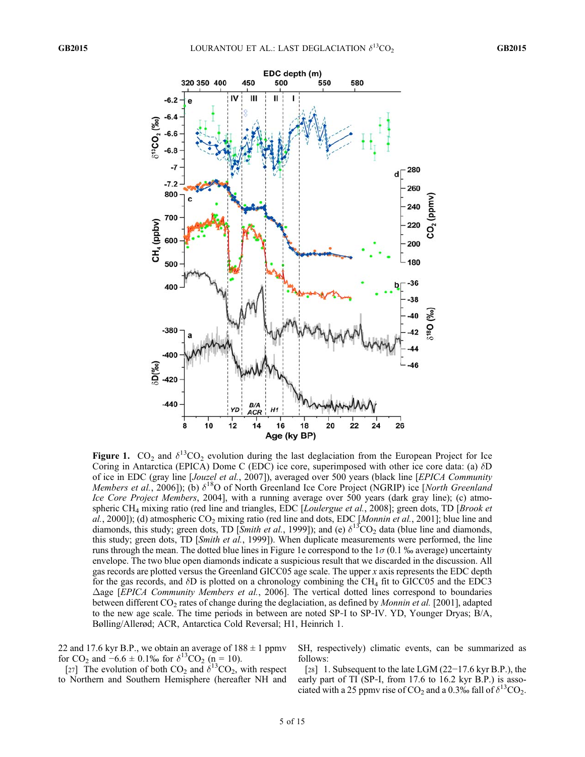

Figure 1.  $CO_2$  and  $\delta^{13}CO_2$  evolution during the last deglaciation from the European Project for Ice Coring in Antarctica (EPICA) Dome C (EDC) ice core, superimposed with other ice core data: (a) dD of ice in EDC (gray line [Jouzel et al., 2007]), averaged over 500 years (black line [EPICA Community Members et al., 2006]); (b)  $\delta^{18}O$  of North Greenland Ice Core Project (NGRIP) ice [North Greenland Ice Core Project Members, 2004], with a running average over 500 years (dark gray line); (c) atmospheric CH<sub>4</sub> mixing ratio (red line and triangles, EDC [*Loulergue et al.*, 2008]; green dots, TD [*Brook et* al., 2000]); (d) atmospheric  $CO_2$  mixing ratio (red line and dots, EDC [Monnin et al., 2001]; blue line and diamonds, this study; green dots, TD [Smith et al., 1999]); and (e)  $\delta^{13}CO_2$  data (blue line and diamonds, this study; green dots, TD [Smith et al., 1999]). When duplicate measurements were performed, the line runs through the mean. The dotted blue lines in Figure 1e correspond to the  $1\sigma$  (0.1 ‰ average) uncertainty envelope. The two blue open diamonds indicate a suspicious result that we discarded in the discussion. All gas records are plotted versus the Greenland GICC05 age scale. The upper x axis represents the EDC depth for the gas records, and  $\delta D$  is plotted on a chronology combining the CH<sub>4</sub> fit to GICC05 and the EDC3  $\Delta$ age [*EPICA Community Members et al.*, 2006]. The vertical dotted lines correspond to boundaries between different  $CO_2$  rates of change during the deglaciation, as defined by *Monnin et al.* [2001], adapted to the new age scale. The time periods in between are noted SP‐I to SP‐IV. YD, Younger Dryas; B/A, Bølling/Allerød; ACR, Antarctica Cold Reversal; H1, Heinrich 1.

22 and 17.6 kyr B.P., we obtain an average of  $188 \pm 1$  ppmv for CO<sub>2</sub> and  $-6.6 \pm 0.1\%$  for  $\delta^{13}$ CO<sub>2</sub> (n = 10).

[27] The evolution of both  $CO_2$  and  $\delta^{13}CO_2$ , with respect to Northern and Southern Hemisphere (hereafter NH and SH, respectively) climatic events, can be summarized as follows:

[28] 1. Subsequent to the late LGM (22−17.6 kyr B.P.), the early part of TI (SP-I, from 17.6 to 16.2 kyr B.P.) is associated with a 25 ppmv rise of  $CO_2$  and a 0.3‰ fall of  $\delta^{13}CO_2$ .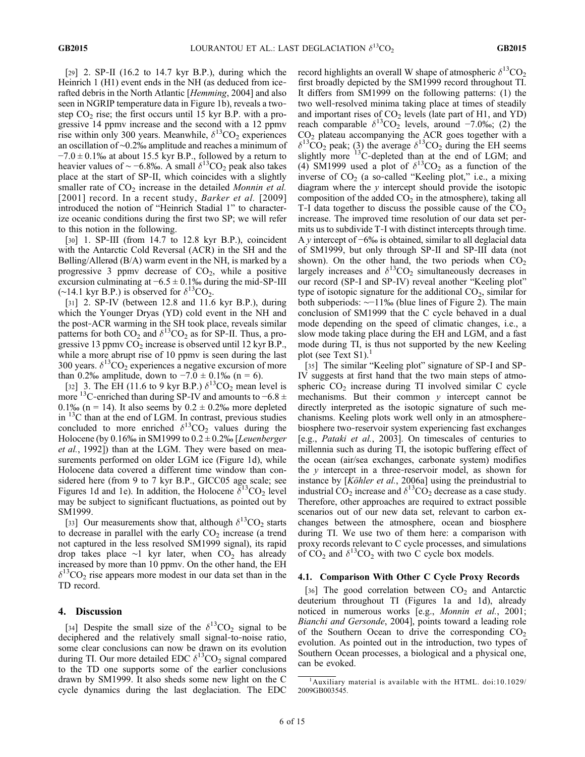[29] 2. SP-II (16.2 to 14.7 kyr B.P.), during which the Heinrich 1 (H1) event ends in the NH (as deduced from icerafted debris in the North Atlantic [Hemming, 2004] and also seen in NGRIP temperature data in Figure 1b), reveals a twostep  $CO<sub>2</sub>$  rise; the first occurs until 15 kyr B.P. with a progressive 14 ppmv increase and the second with a 12 ppmv rise within only 300 years. Meanwhile,  $\delta^{13}CO_2$  experiences an oscillation of ∼0.2‰ amplitude and reaches a minimum of  $-7.0 \pm 0.1\%$  at about 15.5 kyr B.P., followed by a return to heavier values of ~ −6.8‰. A small  $\delta^{13}CO_2$  peak also takes place at the start of SP‐II, which coincides with a slightly smaller rate of  $CO<sub>2</sub>$  increase in the detailed Monnin et al. [2001] record. In a recent study, Barker et al. [2009] introduced the notion of "Heinrich Stadial 1" to characterize oceanic conditions during the first two SP; we will refer to this notion in the following.

[30] 1. SP-III (from 14.7 to 12.8 kyr B.P.), coincident with the Antarctic Cold Reversal (ACR) in the SH and the Bølling/Allerød (B/A) warm event in the NH, is marked by a progressive 3 ppmv decrease of  $CO<sub>2</sub>$ , while a positive excursion culminating at  $-6.5 \pm 0.1\%$  during the mid-SP-III  $(\sim 14.1 \text{ kyr B.P.})$  is observed for  $\delta^{13}$ CO<sub>2</sub>.

[31] 2. SP-IV (between 12.8 and 11.6 kyr B.P.), during which the Younger Dryas (YD) cold event in the NH and the post‐ACR warming in the SH took place, reveals similar patterns for both  $CO_2$  and  $\delta^{13}CO_2$  as for SP-II. Thus, a progressive 13 ppmv  $CO<sub>2</sub>$  increase is observed until 12 kyr B.P., while a more abrupt rise of 10 ppmy is seen during the last 300 years.  $\delta^{13}CO_2$  experiences a negative excursion of more than 0.2‰ amplitude, down to  $-7.0 \pm 0.1\%$  (n = 6).

[32] 3. The EH (11.6 to 9 kyr B.P.)  $\delta^{13}CO_2$  mean level is more <sup>13</sup>C-enriched than during SP-IV and amounts to  $-6.8 \pm$ 0.1‰ (n = 14). It also seems by  $0.2 \pm 0.2$ ‰ more depleted in <sup>13</sup>C than at the end of LGM. In contrast, previous studies concluded to more enriched  $\delta^{13}CO_2$  values during the Holocene (by 0.16‰ in SM1999 to  $0.2 \pm 0.2$ ‰ [Leuenberger et al., 1992]) than at the LGM. They were based on measurements performed on older LGM ice (Figure 1d), while Holocene data covered a different time window than considered here (from 9 to 7 kyr B.P., GICC05 age scale; see Figures 1d and 1e). In addition, the Holocene  $\delta^{13}CO_2$  level may be subject to significant fluctuations, as pointed out by SM1999.

[33] Our measurements show that, although  $\delta^{13}CO_2$  starts to decrease in parallel with the early  $CO<sub>2</sub>$  increase (a trend not captured in the less resolved SM1999 signal), its rapid drop takes place ∼1 kyr later, when  $CO<sub>2</sub>$  has already increased by more than 10 ppmv. On the other hand, the EH  $\delta^{13}CO_2$  rise appears more modest in our data set than in the TD record.

#### 4. Discussion

[34] Despite the small size of the  $\delta^{13}CO_2$  signal to be deciphered and the relatively small signal‐to‐noise ratio, some clear conclusions can now be drawn on its evolution during TI. Our more detailed EDC  $\delta^{13}CO_2$  signal compared to the TD one supports some of the earlier conclusions drawn by SM1999. It also sheds some new light on the C cycle dynamics during the last deglaciation. The EDC record highlights an overall W shape of atmospheric  $\delta^{13}CO_2$ first broadly depicted by the SM1999 record throughout TI. It differs from SM1999 on the following patterns: (1) the two well‐resolved minima taking place at times of steadily and important rises of  $CO<sub>2</sub>$  levels (late part of H1, and YD) reach comparable  $\delta^{13}CO_2$  levels, around −7.0‰; (2) the  $CO<sub>2</sub>$  plateau accompanying the ACR goes together with a  $\delta^{13}CO_2$  peak; (3) the average  $\delta^{13}CO_2$  during the EH seems slightly more  $13^{\circ}$ C-depleted than at the end of LGM; and (4) SM1999 used a plot of  $\delta^{13}CO_2$  as a function of the inverse of  $CO<sub>2</sub>$  (a so-called "Keeling plot," i.e., a mixing diagram where the  $y$  intercept should provide the isotopic composition of the added  $CO<sub>2</sub>$  in the atmosphere), taking all T-I data together to discuss the possible cause of the  $CO<sub>2</sub>$ increase. The improved time resolution of our data set permits us to subdivide T‐I with distinct intercepts through time. A y intercept of  $-6\%$  is obtained, similar to all deglacial data of SM1999, but only through SP‐II and SP‐III data (not shown). On the other hand, the two periods when  $CO<sub>2</sub>$ largely increases and  $\delta^{13}CO_2$  simultaneously decreases in our record (SP‐I and SP‐IV) reveal another "Keeling plot" type of isotopic signature for the additional  $CO<sub>2</sub>$ , similar for both subperiods: ∼−11‰ (blue lines of Figure 2). The main conclusion of SM1999 that the C cycle behaved in a dual mode depending on the speed of climatic changes, i.e., a slow mode taking place during the EH and LGM, and a fast mode during TI, is thus not supported by the new Keeling plot (see Text  $S1$ ).<sup>1</sup>

[35] The similar "Keeling plot" signature of SP-I and SP-IV suggests at first hand that the two main steps of atmospheric  $CO<sub>2</sub>$  increase during TI involved similar C cycle mechanisms. But their common  $y$  intercept cannot be directly interpreted as the isotopic signature of such mechanisms. Keeling plots work well only in an atmosphere‐ biosphere two‐reservoir system experiencing fast exchanges [e.g., Pataki et al., 2003]. On timescales of centuries to millennia such as during TI, the isotopic buffering effect of the ocean (air/sea exchanges, carbonate system) modifies the  $y$  intercept in a three-reservoir model, as shown for instance by [*Köhler et al.*, 2006a] using the preindustrial to industrial  $CO_2$  increase and  $\delta^{13}CO_2$  decrease as a case study. Therefore, other approaches are required to extract possible scenarios out of our new data set, relevant to carbon exchanges between the atmosphere, ocean and biosphere during TI. We use two of them here: a comparison with proxy records relevant to C cycle processes, and simulations of  $CO_2$  and  $\delta^{13}CO_2$  with two C cycle box models.

#### 4.1. Comparison With Other C Cycle Proxy Records

[36] The good correlation between  $CO<sub>2</sub>$  and Antarctic deuterium throughout TI (Figures 1a and 1d), already noticed in numerous works [e.g., Monnin et al., 2001; Bianchi and Gersonde, 2004], points toward a leading role of the Southern Ocean to drive the corresponding  $CO<sub>2</sub>$ evolution. As pointed out in the introduction, two types of Southern Ocean processes, a biological and a physical one, can be evoked.

<sup>&</sup>lt;sup>1</sup>Auxiliary material is available with the HTML. doi:10.1029/ 2009GB003545.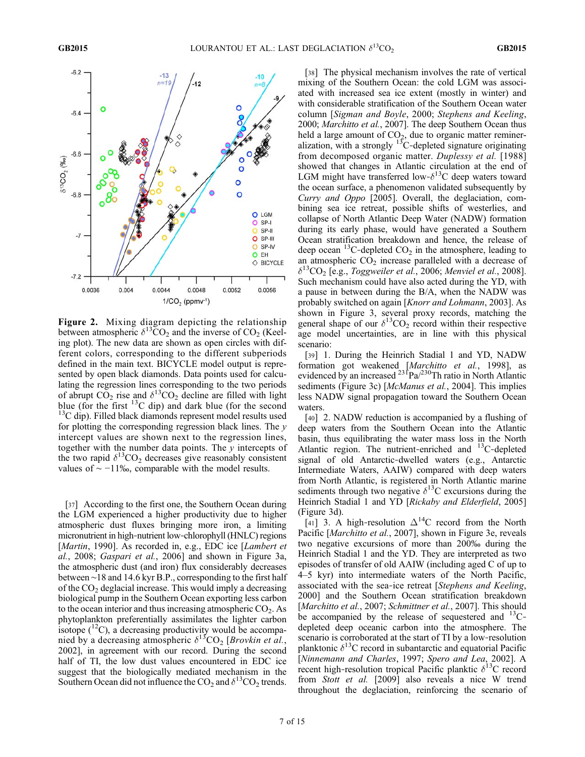

**Figure 2.** Mixing diagram depicting the relationship between atmospheric  $\delta^{13}CO_2$  and the inverse of CO<sub>2</sub> (Keeling plot). The new data are shown as open circles with different colors, corresponding to the different subperiods defined in the main text. BICYCLE model output is represented by open black diamonds. Data points used for calculating the regression lines corresponding to the two periods of abrupt  $CO_2$  rise and  $\delta^{13}CO_2$  decline are filled with light<br>blue (for the first <sup>13</sup>C dip) and dark blue (for the second  ${}^{13}C$  dip). Filled black diamonds represent model results used for plotting the corresponding regression black lines. The  $\nu$ intercept values are shown next to the regression lines, together with the number data points. The  $\nu$  intercepts of the two rapid  $\delta^{13}CO_2$  decreases give reasonably consistent values of  $\sim$  −11‰, comparable with the model results.

[37] According to the first one, the Southern Ocean during the LGM experienced a higher productivity due to higher atmospheric dust fluxes bringing more iron, a limiting micronutrient in high‐nutrient low‐chlorophyll (HNLC) regions [Martin, 1990]. As recorded in, e.g., EDC ice [Lambert et al., 2008; Gaspari et al., 2006] and shown in Figure 3a, the atmospheric dust (and iron) flux considerably decreases between ∼18 and 14.6 kyr B.P., corresponding to the first half of the  $CO<sub>2</sub>$  deglacial increase. This would imply a decreasing biological pump in the Southern Ocean exporting less carbon to the ocean interior and thus increasing atmospheric  $CO<sub>2</sub>$ . As phytoplankton preferentially assimilates the lighter carbon isotope  $(^{12}C)$ , a decreasing productivity would be accompanied by a decreasing atmospheric  $\delta^{13}$ CO<sub>2</sub> [Brovkin et al., 2002], in agreement with our record. During the second half of TI, the low dust values encountered in EDC ice suggest that the biologically mediated mechanism in the Southern Ocean did not influence the  $CO_2$  and  $\delta^{13}CO_2$  trends.

[38] The physical mechanism involves the rate of vertical mixing of the Southern Ocean: the cold LGM was associated with increased sea ice extent (mostly in winter) and with considerable stratification of the Southern Ocean water column [Sigman and Boyle, 2000; Stephens and Keeling, 2000; Marchitto et al., 2007]. The deep Southern Ocean thus held a large amount of  $CO<sub>2</sub>$ , due to organic matter remineralization, with a strongly  $13C$ -depleted signature originating from decomposed organic matter. Duplessy et al. [1988] showed that changes in Atlantic circulation at the end of LGM might have transferred low- $\delta^{13}$ C deep waters toward the ocean surface, a phenomenon validated subsequently by Curry and Oppo [2005]. Overall, the deglaciation, combining sea ice retreat, possible shifts of westerlies, and collapse of North Atlantic Deep Water (NADW) formation during its early phase, would have generated a Southern Ocean stratification breakdown and hence, the release of deep ocean <sup>13</sup>C-depleted  $CO<sub>2</sub>$  in the atmosphere, leading to an atmospheric  $CO<sub>2</sub>$  increase paralleled with a decrease of  $\delta^{13}$ CO<sub>2</sub> [e.g., *Toggweiler et al.*, 2006; *Menviel et al.*, 2008]. Such mechanism could have also acted during the YD, with a pause in between during the B/A, when the NADW was probably switched on again [Knorr and Lohmann, 2003]. As shown in Figure 3, several proxy records, matching the general shape of our  $\delta^{13}CO_2$  record within their respective age model uncertainties, are in line with this physical scenario:

[39] 1. During the Heinrich Stadial 1 and YD, NADW formation got weakened [Marchitto et al., 1998], as evidenced by an increased  $^{23}$ Pa $/^{230}$ Th ratio in North Atlantic sediments (Figure 3c) [McManus et al., 2004]. This implies less NADW signal propagation toward the Southern Ocean waters.

[40] 2. NADW reduction is accompanied by a flushing of deep waters from the Southern Ocean into the Atlantic basin, thus equilibrating the water mass loss in the North Atlantic region. The nutrient-enriched and <sup>13</sup>C-depleted signal of old Antarctic‐dwelled waters (e.g., Antarctic Intermediate Waters, AAIW) compared with deep waters from North Atlantic, is registered in North Atlantic marine sediments through two negative  $\delta^{13}$ C excursions during the Heinrich Stadial 1 and YD [Rickaby and Elderfield, 2005] (Figure 3d).

[41] 3. A high-resolution  $\Delta^{14}$ C record from the North Pacific [Marchitto et al., 2007], shown in Figure 3e, reveals two negative excursions of more than 200‰ during the Heinrich Stadial 1 and the YD. They are interpreted as two episodes of transfer of old AAIW (including aged C of up to 4–5 kyr) into intermediate waters of the North Pacific, associated with the sea‐ice retreat [Stephens and Keeling, 2000] and the Southern Ocean stratification breakdown [Marchitto et al., 2007; Schmittner et al., 2007]. This should be accompanied by the release of sequestered and  $^{13}$ C– depleted deep oceanic carbon into the atmosphere. The scenario is corroborated at the start of TI by a low-resolution planktonic  $\delta^{13}$ C record in subantarctic and equatorial Pacific [Ninnemann and Charles, 1997; Spero and Lea, 2002]. A recent high-resolution tropical Pacific planktic  $\delta^{13}$ C record from Stott et al. [2009] also reveals a nice W trend throughout the deglaciation, reinforcing the scenario of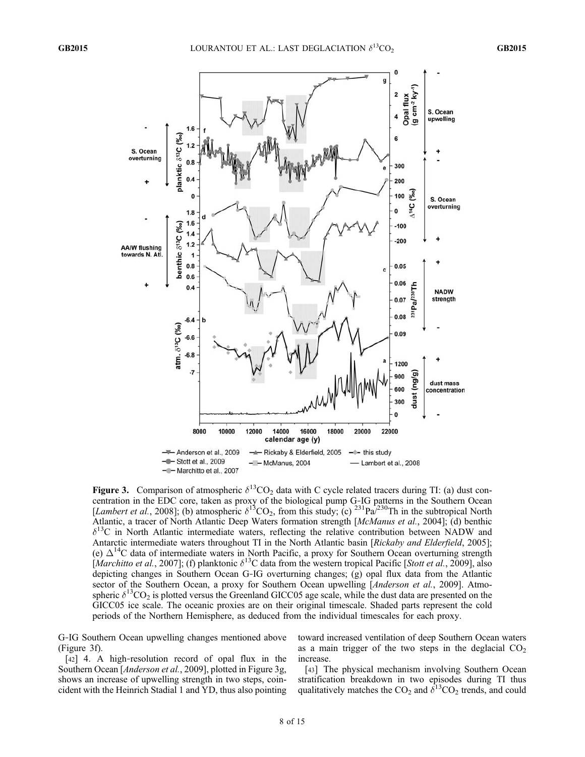

Figure 3. Comparison of atmospheric  $\delta^{13}CO_2$  data with C cycle related tracers during TI: (a) dust concentration in the EDC core, taken as proxy of the biological pump G‐IG patterns in the Southern Ocean [Lambert et al., 2008]; (b) atmospheric  $\delta^{13}CO_2$ , from this study; (c) <sup>231</sup>Pa<sup> $/230$ </sup>Th in the subtropical North Atlantic, a tracer of North Atlantic Deep Waters formation strength [McManus et al., 2004]; (d) benthic  $\delta^{13}$ C in North Atlantic intermediate waters, reflecting the relative contribution between NADW and Antarctic intermediate waters throughout TI in the North Atlantic basin [Rickaby and Elderfield, 2005]; (e)  $\Delta^{14}$ C data of intermediate waters in North Pacific, a proxy for Southern Ocean overturning strength [Marchitto et al., 2007]; (f) planktonic  $\delta^{13}C$  data from the western tropical Pacific [Stott et al., 2009], also depicting changes in Southern Ocean G‐IG overturning changes; (g) opal flux data from the Atlantic sector of the Southern Ocean, a proxy for Southern Ocean upwelling [*Anderson et al.*, 2009]. Atmospheric  $\delta^{13}$ CO<sub>2</sub> is plotted versus the Greenland GICC05 age scale, while the dust data are presented on the GICC05 ice scale. The oceanic proxies are on their original timescale. Shaded parts represent the cold periods of the Northern Hemisphere, as deduced from the individual timescales for each proxy.

G‐IG Southern Ocean upwelling changes mentioned above (Figure 3f).

[42] 4. A high-resolution record of opal flux in the Southern Ocean [*Anderson et al.*, 2009], plotted in Figure 3g, shows an increase of upwelling strength in two steps, coincident with the Heinrich Stadial 1 and YD, thus also pointing toward increased ventilation of deep Southern Ocean waters as a main trigger of the two steps in the deglacial  $CO<sub>2</sub>$ increase.

[43] The physical mechanism involving Southern Ocean stratification breakdown in two episodes during TI thus qualitatively matches the  $CO_2$  and  $\delta^{13}CO_2$  trends, and could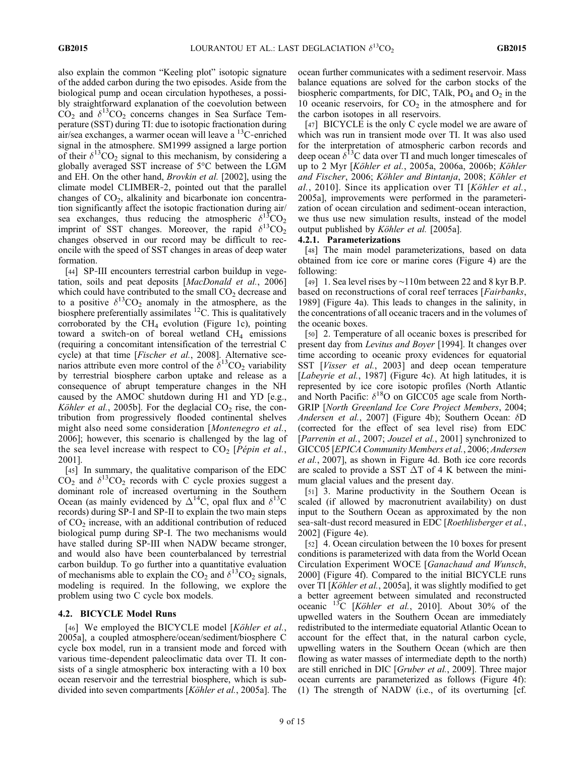also explain the common "Keeling plot" isotopic signature of the added carbon during the two episodes. Aside from the biological pump and ocean circulation hypotheses, a possibly straightforward explanation of the coevolution between  $CO<sub>2</sub>$  and  $\delta^{13}CO<sub>2</sub>$  concerns changes in Sea Surface Temperature (SST) during TI: due to isotopic fractionation during air/sea exchanges, a warmer ocean will leave a  ${}^{13}$ C-enriched signal in the atmosphere. SM1999 assigned a large portion of their  $\delta^{13}CO_2$  signal to this mechanism, by considering a globally averaged SST increase of 5°C between the LGM and EH. On the other hand, Brovkin et al. [2002], using the climate model CLIMBER‐2, pointed out that the parallel changes of  $CO<sub>2</sub>$ , alkalinity and bicarbonate ion concentration significantly affect the isotopic fractionation during air/ sea exchanges, thus reducing the atmospheric  $\delta^{13}CO_2$ imprint of SST changes. Moreover, the rapid  $\delta^{13}CO_2$ changes observed in our record may be difficult to reconcile with the speed of SST changes in areas of deep water formation.

[44] SP-III encounters terrestrial carbon buildup in vegetation, soils and peat deposits [MacDonald et al., 2006] which could have contributed to the small  $CO<sub>2</sub>$  decrease and to a positive  $\delta^{13}CO_2$  anomaly in the atmosphere, as the biosphere preferentially assimilates <sup>12</sup>C. This is qualitatively corroborated by the  $CH_4$  evolution (Figure 1c), pointing toward a switch-on of boreal wetland  $CH<sub>4</sub>$  emissions (requiring a concomitant intensification of the terrestrial C cycle) at that time [*Fischer et al.*, 2008]. Alternative scenarios attribute even more control of the  $\delta^{13}$ CO<sub>2</sub> variability by terrestrial biosphere carbon uptake and release as a consequence of abrupt temperature changes in the NH caused by the AMOC shutdown during H1 and YD [e.g., Köhler et al., 2005b]. For the deglacial  $CO<sub>2</sub>$  rise, the contribution from progressively flooded continental shelves might also need some consideration [Montenegro et al., 2006]; however, this scenario is challenged by the lag of the sea level increase with respect to  $CO<sub>2</sub>$  [Pépin et al., 2001].

[45] In summary, the qualitative comparison of the EDC  $CO<sub>2</sub>$  and  $\delta^{13}CO<sub>2</sub>$  records with C cycle proxies suggest a dominant role of increased overturning in the Southern Ocean (as mainly evidenced by  $\Delta^{14}$ C, opal flux and  $\delta^{13}$ C records) during SP‐I and SP‐II to explain the two main steps of CO<sub>2</sub> increase, with an additional contribution of reduced biological pump during SP‐I. The two mechanisms would have stalled during SP-III when NADW became stronger, and would also have been counterbalanced by terrestrial carbon buildup. To go further into a quantitative evaluation of mechanisms able to explain the  $CO_2$  and  $\delta^{13}CO_2$  signals, modeling is required. In the following, we explore the problem using two C cycle box models.

#### 4.2. BICYCLE Model Runs

[46] We employed the BICYCLE model [Köhler et al., 2005a], a coupled atmosphere/ocean/sediment/biosphere C cycle box model, run in a transient mode and forced with various time‐dependent paleoclimatic data over TI. It consists of a single atmospheric box interacting with a 10 box ocean reservoir and the terrestrial biosphere, which is subdivided into seven compartments [Köhler et al., 2005a]. The ocean further communicates with a sediment reservoir. Mass balance equations are solved for the carbon stocks of the biospheric compartments, for DIC, TAlk,  $PO_4$  and  $O_2$  in the 10 oceanic reservoirs, for  $CO<sub>2</sub>$  in the atmosphere and for the carbon isotopes in all reservoirs.

[47] BICYCLE is the only C cycle model we are aware of which was run in transient mode over TI. It was also used for the interpretation of atmospheric carbon records and deep ocean  $\delta^{13}$ C data over TI and much longer timescales of up to 2 Myr [Köhler et al., 2005a, 2006a, 2006b; Köhler and Fischer, 2006; Köhler and Bintanja, 2008; Köhler et al., 2010]. Since its application over TI [Köhler et al., 2005a], improvements were performed in the parameterization of ocean circulation and sediment‐ocean interaction, we thus use new simulation results, instead of the model output published by Köhler et al. [2005a].

#### 4.2.1. Parameterizations

[48] The main model parameterizations, based on data obtained from ice core or marine cores (Figure 4) are the following:

[49] 1. Sea level rises by ∼110m between 22 and 8 kyr B.P. based on reconstructions of coral reef terraces [Fairbanks, 1989] (Figure 4a). This leads to changes in the salinity, in the concentrations of all oceanic tracers and in the volumes of the oceanic boxes.

[50] 2. Temperature of all oceanic boxes is prescribed for present day from *Levitus and Boyer* [1994]. It changes over time according to oceanic proxy evidences for equatorial SST *[Visser et al., 2003]* and deep ocean temperature [*Labeyrie et al.*, 1987] (Figure 4c). At high latitudes, it is represented by ice core isotopic profiles (North Atlantic and North Pacific:  $\delta^{18}$ O on GICC05 age scale from North-GRIP [North Greenland Ice Core Project Members, 2004; Andersen et al., 2007] (Figure 4b); Southern Ocean:  $\delta D$ (corrected for the effect of sea level rise) from EDC [Parrenin et al., 2007; Jouzel et al., 2001] synchronized to GICC05 [EPICA Community Members et al., 2006; Andersen et al., 2007], as shown in Figure 4d. Both ice core records are scaled to provide a SST  $\Delta T$  of 4 K between the minimum glacial values and the present day.

[51] 3. Marine productivity in the Southern Ocean is scaled (if allowed by macronutrient availability) on dust input to the Southern Ocean as approximated by the non sea-salt-dust record measured in EDC [Roethlisberger et al., 2002] (Figure 4e).

[52] 4. Ocean circulation between the 10 boxes for present conditions is parameterized with data from the World Ocean Circulation Experiment WOCE [Ganachaud and Wunsch, 2000] (Figure 4f). Compared to the initial BICYCLE runs over TI [Köhler et al., 2005a], it was slightly modified to get a better agreement between simulated and reconstructed oceanic <sup>13</sup>C [*Köhler et al.*, 2010]. About 30% of the upwelled waters in the Southern Ocean are immediately redistributed to the intermediate equatorial Atlantic Ocean to account for the effect that, in the natural carbon cycle, upwelling waters in the Southern Ocean (which are then flowing as water masses of intermediate depth to the north) are still enriched in DIC [Gruber et al., 2009]. Three major ocean currents are parameterized as follows (Figure 4f): (1) The strength of NADW (i.e., of its overturning [cf.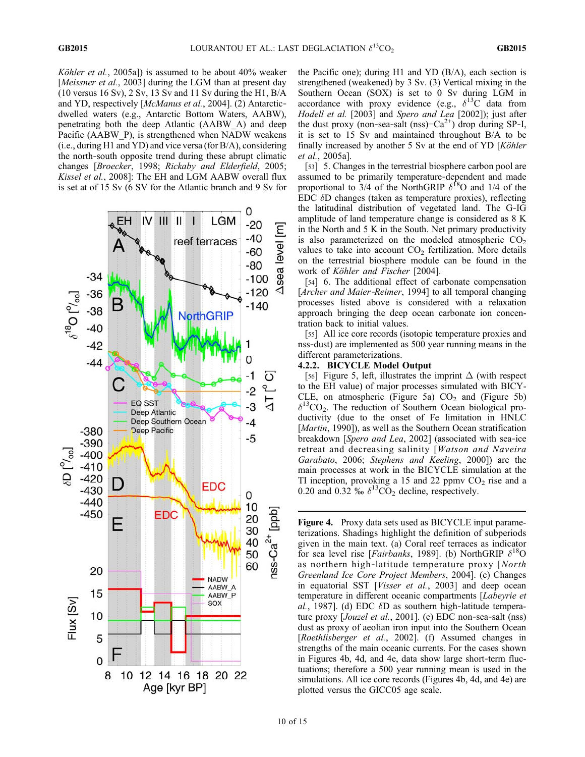Köhler et al., 2005a]) is assumed to be about 40% weaker [Meissner et al., 2003] during the LGM than at present day (10 versus 16 Sv), 2 Sv, 13 Sv and 11 Sv during the H1, B/A and YD, respectively [McManus et al., 2004]. (2) Antarcticdwelled waters (e.g., Antarctic Bottom Waters, AABW), penetrating both the deep Atlantic (AABW\_A) and deep Pacific (AABW\_P), is strengthened when NADW weakens (i.e., during H1 and YD) and vice versa (for B/A), considering the north‐south opposite trend during these abrupt climatic changes [Broecker, 1998; Rickaby and Elderfield, 2005; Kissel et al., 2008]: The EH and LGM AABW overall flux is set at of 15 Sv (6 SV for the Atlantic branch and 9 Sv for



the Pacific one); during H1 and YD (B/A), each section is strengthened (weakened) by 3 Sv. (3) Vertical mixing in the Southern Ocean (SOX) is set to 0 Sv during LGM in accordance with proxy evidence (e.g.,  $\delta^{13}$ C data from Hodell et al. [2003] and Spero and Lea [2002]); just after the dust proxy (non-sea-salt (nss)– $Ca^{2+}$ ) drop during SP-I, it is set to 15 Sv and maintained throughout B/A to be finally increased by another 5 Sv at the end of YD [Köhler et al., 2005a].

[53] 5. Changes in the terrestrial biosphere carbon pool are assumed to be primarily temperature‐dependent and made proportional to 3/4 of the NorthGRIP  $\delta^{18}$ O and 1/4 of the  $EDC$   $\delta D$  changes (taken as temperature proxies), reflecting the latitudinal distribution of vegetated land. The G‐IG amplitude of land temperature change is considered as 8 K in the North and 5 K in the South. Net primary productivity is also parameterized on the modeled atmospheric  $CO<sub>2</sub>$ values to take into account  $CO<sub>2</sub>$  fertilization. More details on the terrestrial biosphere module can be found in the work of Köhler and Fischer [2004].

[54] 6. The additional effect of carbonate compensation [Archer and Maier-Reimer, 1994] to all temporal changing processes listed above is considered with a relaxation approach bringing the deep ocean carbonate ion concentration back to initial values.

[55] All ice core records (isotopic temperature proxies and nss‐dust) are implemented as 500 year running means in the different parameterizations.

#### 4.2.2. BICYCLE Model Output

[56] Figure 5, left, illustrates the imprint  $\Delta$  (with respect to the EH value) of major processes simulated with BICY-CLE, on atmospheric (Figure 5a)  $CO<sub>2</sub>$  and (Figure 5b)  $\delta^{13}CO_2$ . The reduction of Southern Ocean biological productivity (due to the onset of Fe limitation in HNLC [*Martin*, 1990]), as well as the Southern Ocean stratification breakdown [Spero and Lea, 2002] (associated with sea-ice retreat and decreasing salinity [Watson and Naveira Garabato, 2006; Stephens and Keeling, 2000]) are the main processes at work in the BICYCLE simulation at the TI inception, provoking a 15 and 22 ppmv  $CO<sub>2</sub>$  rise and a 0.20 and 0.32 ‰  $\delta^{13}CO_2$  decline, respectively.

Figure 4. Proxy data sets used as BICYCLE input parameterizations. Shadings highlight the definition of subperiods given in the main text. (a) Coral reef terraces as indicator for sea level rise [*Fairbanks*, 1989]. (b) NorthGRIP  $\delta^{18}O$ as northern high-latitude temperature proxy [North Greenland Ice Core Project Members, 2004]. (c) Changes in equatorial SST [Visser et al., 2003] and deep ocean temperature in different oceanic compartments [Labeyrie et al., 1987]. (d) EDC  $\delta$ D as southern high-latitude temperature proxy [*Jouzel et al.*, 2001]. (e) EDC non-sea-salt (nss) dust as proxy of aeolian iron input into the Southern Ocean [Roethlisberger et al., 2002]. (f) Assumed changes in strengths of the main oceanic currents. For the cases shown in Figures 4b, 4d, and 4e, data show large short‐term fluctuations; therefore a 500 year running mean is used in the simulations. All ice core records (Figures 4b, 4d, and 4e) are plotted versus the GICC05 age scale.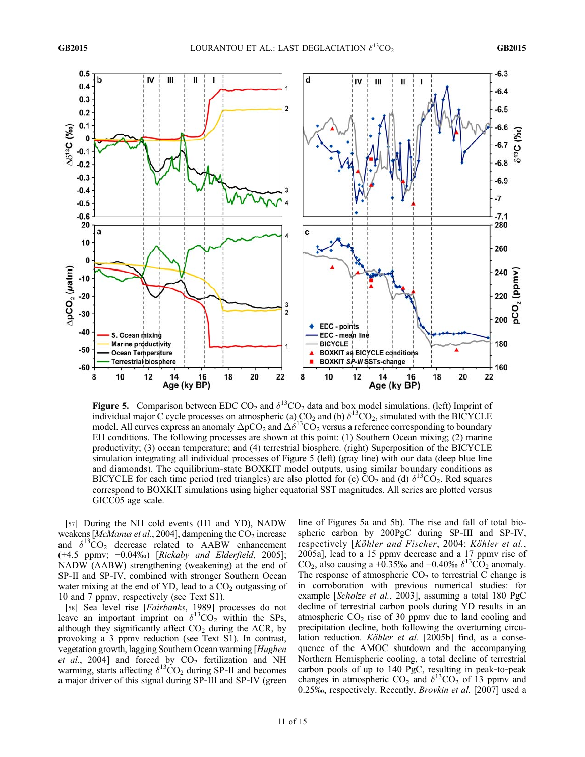

**Figure 5.** Comparison between EDC CO<sub>2</sub> and  $\delta^{13}$ CO<sub>2</sub> data and box model simulations. (left) Imprint of individual major C cycle processes on atmospheric (a)  $CO_2$  and (b)  $\delta^{13}CO_2$ , simulated with the BICYCLE model. All curves express an anomaly  $\Delta pCO_2$  and  $\Delta \delta^{13}CO_2$  versus a reference corresponding to boundary EH conditions. The following processes are shown at this point: (1) Southern Ocean mixing; (2) marine productivity; (3) ocean temperature; and (4) terrestrial biosphere. (right) Superposition of the BICYCLE simulation integrating all individual processes of Figure 5 (left) (gray line) with our data (deep blue line and diamonds). The equilibrium-state BOXKIT model outputs, using similar boundary conditions as BICYCLE for each time period (red triangles) are also plotted for (c)  $CO_2$  and (d)  $\delta^{13}CO_2$ . Red squares correspond to BOXKIT simulations using higher equatorial SST magnitudes. All series are plotted versus GICC05 age scale.

[57] During the NH cold events (H1 and YD), NADW weakens [McManus et al., 2004], dampening the  $CO<sub>2</sub>$  increase and  $\delta^{13}CO_2$  decrease related to AABW enhancement (+4.5 ppmv; −0.04‰) [Rickaby and Elderfield, 2005]; NADW (AABW) strengthening (weakening) at the end of SP-II and SP-IV, combined with stronger Southern Ocean water mixing at the end of YD, lead to a  $CO<sub>2</sub>$  outgassing of 10 and 7 ppmv, respectively (see Text S1).

[58] Sea level rise [*Fairbanks*, 1989] processes do not leave an important imprint on  $\delta^{13}CO_2$  within the SPs, although they significantly affect  $CO<sub>2</sub>$  during the ACR, by provoking a 3 ppmv reduction (see Text S1). In contrast, vegetation growth, lagging Southern Ocean warming [Hughen *et al.*, 2004] and forced by  $CO_2$  fertilization and NH warming, starts affecting  $\delta^{13}CO_2$  during SP-II and becomes a major driver of this signal during SP‐III and SP‐IV (green

line of Figures 5a and 5b). The rise and fall of total biospheric carbon by 200PgC during SP-III and SP-IV, respectively [Köhler and Fischer, 2004; Köhler et al., 2005a], lead to a 15 ppmv decrease and a 17 ppmv rise of CO<sub>2</sub>, also causing a +0.35‰ and −0.40‰  $\delta^{13}$ CO<sub>2</sub> anomaly. The response of atmospheric  $CO<sub>2</sub>$  to terrestrial C change is in corroboration with previous numerical studies: for example [Scholze et al., 2003], assuming a total 180 PgC decline of terrestrial carbon pools during YD results in an atmospheric  $CO<sub>2</sub>$  rise of 30 ppmv due to land cooling and precipitation decline, both following the overturning circulation reduction. *Köhler et al.* [2005b] find, as a consequence of the AMOC shutdown and the accompanying Northern Hemispheric cooling, a total decline of terrestrial carbon pools of up to 140 PgC, resulting in peak‐to‐peak changes in atmospheric  $CO_2$  and  $\delta^{13}CO_2$  of 13 ppmv and 0.25‰, respectively. Recently, Brovkin et al. [2007] used a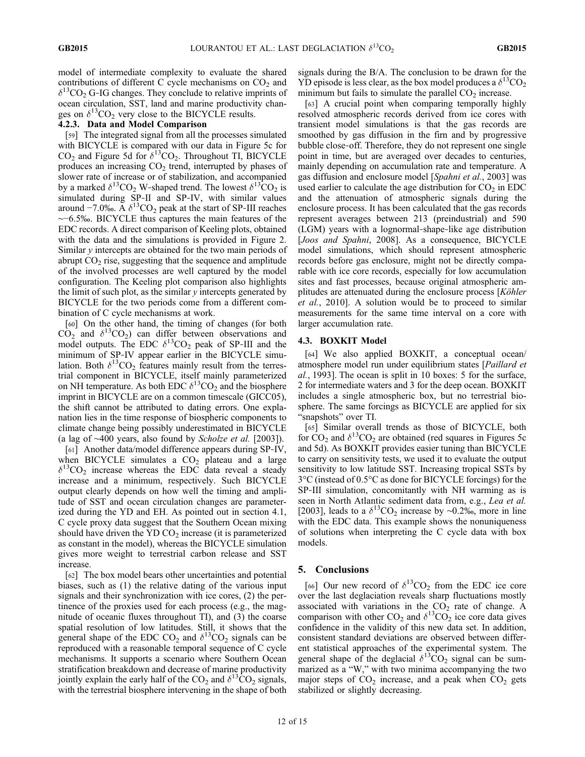model of intermediate complexity to evaluate the shared contributions of different C cycle mechanisms on  $CO<sub>2</sub>$  and  $\delta^{13}CO_2$  G-IG changes. They conclude to relative imprints of ocean circulation, SST, land and marine productivity changes on  $\delta^{13}CO_2$  very close to the BICYCLE results.

#### 4.2.3. Data and Model Comparison

[59] The integrated signal from all the processes simulated with BICYCLE is compared with our data in Figure 5c for  $CO<sub>2</sub>$  and Figure 5d for  $\delta^{13}CO_2$ . Throughout TI, BICYCLE produces an increasing  $CO<sub>2</sub>$  trend, interrupted by phases of slower rate of increase or of stabilization, and accompanied by a marked  $\delta^{13}CO_2$  W-shaped trend. The lowest  $\delta^{13}CO_2$  is simulated during SP-II and SP-IV, with similar values around  $-7.0\%$ . A  $\delta^{13}CO_2$  peak at the start of SP-III reaches ∼−6.5‰. BICYCLE thus captures the main features of the EDC records. A direct comparison of Keeling plots, obtained with the data and the simulations is provided in Figure 2. Similar y intercepts are obtained for the two main periods of abrupt  $CO<sub>2</sub>$  rise, suggesting that the sequence and amplitude of the involved processes are well captured by the model configuration. The Keeling plot comparison also highlights the limit of such plot, as the similar  $\nu$  intercepts generated by BICYCLE for the two periods come from a different combination of C cycle mechanisms at work.

[60] On the other hand, the timing of changes (for both  $CO<sub>2</sub>$  and  $\delta^{13}CO<sub>2</sub>$ ) can differ between observations and model outputs. The EDC  $\delta^{13}CO_2$  peak of SP-III and the minimum of SP-IV appear earlier in the BICYCLE simulation. Both  $\delta^{13}CO_2$  features mainly result from the terrestrial component in BICYCLE, itself mainly parameterized on NH temperature. As both EDC  $\delta^{13}CO_2$  and the biosphere imprint in BICYCLE are on a common timescale (GICC05), the shift cannot be attributed to dating errors. One explanation lies in the time response of biospheric components to climate change being possibly underestimated in BICYCLE (a lag of ∼400 years, also found by Scholze et al. [2003]).

[61] Another data/model difference appears during SP‐IV, when BICYCLE simulates a  $CO<sub>2</sub>$  plateau and a large  $\delta^{13}CO_2$  increase whereas the EDC data reveal a steady increase and a minimum, respectively. Such BICYCLE output clearly depends on how well the timing and amplitude of SST and ocean circulation changes are parameterized during the YD and EH. As pointed out in section 4.1, C cycle proxy data suggest that the Southern Ocean mixing should have driven the YD  $CO<sub>2</sub>$  increase (it is parameterized as constant in the model), whereas the BICYCLE simulation gives more weight to terrestrial carbon release and SST increase.

[62] The box model bears other uncertainties and potential biases, such as (1) the relative dating of the various input signals and their synchronization with ice cores, (2) the pertinence of the proxies used for each process (e.g., the magnitude of oceanic fluxes throughout TI), and (3) the coarse spatial resolution of low latitudes. Still, it shows that the general shape of the EDC CO<sub>2</sub> and  $\delta^{13}$ CO<sub>2</sub> signals can be reproduced with a reasonable temporal sequence of C cycle mechanisms. It supports a scenario where Southern Ocean stratification breakdown and decrease of marine productivity jointly explain the early half of the  $CO_2$  and  $\delta^{13}CO_2$  signals, with the terrestrial biosphere intervening in the shape of both

signals during the B/A. The conclusion to be drawn for the YD episode is less clear, as the box model produces a  $\delta^{13}CO_2$ minimum but fails to simulate the parallel  $CO<sub>2</sub>$  increase.

[63] A crucial point when comparing temporally highly resolved atmospheric records derived from ice cores with transient model simulations is that the gas records are smoothed by gas diffusion in the firn and by progressive bubble close‐off. Therefore, they do not represent one single point in time, but are averaged over decades to centuries, mainly depending on accumulation rate and temperature. A gas diffusion and enclosure model [Spahni et al., 2003] was used earlier to calculate the age distribution for  $CO<sub>2</sub>$  in EDC and the attenuation of atmospheric signals during the enclosure process. It has been calculated that the gas records represent averages between 213 (preindustrial) and 590 (LGM) years with a lognormal‐shape‐like age distribution [Joos and Spahni, 2008]. As a consequence, BICYCLE model simulations, which should represent atmospheric records before gas enclosure, might not be directly comparable with ice core records, especially for low accumulation sites and fast processes, because original atmospheric amplitudes are attenuated during the enclosure process [Köhler et al., 2010]. A solution would be to proceed to similar measurements for the same time interval on a core with larger accumulation rate.

#### 4.3. BOXKIT Model

[64] We also applied BOXKIT, a conceptual ocean/ atmosphere model run under equilibrium states [Paillard et al., 1993]. The ocean is split in 10 boxes: 5 for the surface, 2 for intermediate waters and 3 for the deep ocean. BOXKIT includes a single atmospheric box, but no terrestrial biosphere. The same forcings as BICYCLE are applied for six "snapshots" over TI.

[65] Similar overall trends as those of BICYCLE, both for  $CO_2$  and  $\delta^{13}CO_2$  are obtained (red squares in Figures 5c and 5d). As BOXKIT provides easier tuning than BICYCLE to carry on sensitivity tests, we used it to evaluate the output sensitivity to low latitude SST. Increasing tropical SSTs by 3°C (instead of 0.5°C as done for BICYCLE forcings) for the SP-III simulation, concomitantly with NH warming as is seen in North Atlantic sediment data from, e.g., Lea et al. [2003], leads to a  $\delta^{13}CO_2$  increase by ∼0.2‰, more in line with the EDC data. This example shows the nonuniqueness of solutions when interpreting the C cycle data with box models.

#### 5. Conclusions

[66] Our new record of  $\delta^{13}CO_2$  from the EDC ice core over the last deglaciation reveals sharp fluctuations mostly associated with variations in the  $CO<sub>2</sub>$  rate of change. A comparison with other  $CO_2$  and  $\delta^{13}CO_2$  ice core data gives confidence in the validity of this new data set. In addition, consistent standard deviations are observed between different statistical approaches of the experimental system. The general shape of the deglacial  $\delta^{13}CO_2$  signal can be summarized as a "W," with two minima accompanying the two major steps of  $CO<sub>2</sub>$  increase, and a peak when  $CO<sub>2</sub>$  gets stabilized or slightly decreasing.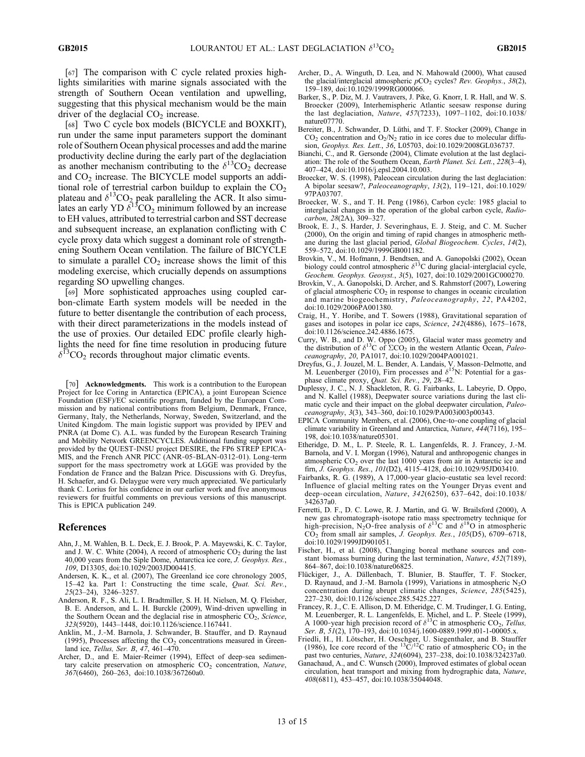[67] The comparison with C cycle related proxies highlights similarities with marine signals associated with the strength of Southern Ocean ventilation and upwelling, suggesting that this physical mechanism would be the main driver of the deglacial  $CO<sub>2</sub>$  increase.

[68] Two C cycle box models (BICYCLE and BOXKIT), run under the same input parameters support the dominant role of Southern Ocean physical processes and add the marine productivity decline during the early part of the deglaciation as another mechanism contributing to the  $\delta^{13}CO_2$  decrease and  $CO<sub>2</sub>$  increase. The BICYCLE model supports an additional role of terrestrial carbon buildup to explain the  $CO<sub>2</sub>$ plateau and  $\delta^{13}CO_2$  peak paralleling the ACR. It also simulates an early YD  $\delta^{13}CO_2$  minimum followed by an increase to EH values, attributed to terrestrial carbon and SST decrease and subsequent increase, an explanation conflicting with C cycle proxy data which suggest a dominant role of strengthening Southern Ocean ventilation. The failure of BICYCLE to simulate a parallel  $CO<sub>2</sub>$  increase shows the limit of this modeling exercise, which crucially depends on assumptions regarding SO upwelling changes.

[69] More sophisticated approaches using coupled carbon‐climate Earth system models will be needed in the future to better disentangle the contribution of each process, with their direct parameterizations in the models instead of the use of proxies. Our detailed EDC profile clearly highlights the need for fine time resolution in producing future  $\delta^{13}CO_2$  records throughout major climatic events.

[70] Acknowledgments. This work is a contribution to the European Project for Ice Coring in Antarctica (EPICA), a joint European Science Foundation (ESF)/EC scientific program, funded by the European Commission and by national contributions from Belgium, Denmark, France, Germany, Italy, the Netherlands, Norway, Sweden, Switzerland, and the United Kingdom. The main logistic support was provided by IPEV and PNRA (at Dome C). A.L. was funded by the European Research Training and Mobility Network GREENCYCLES. Additional funding support was provided by the QUEST-INSU project DESIRE, the FP6 STREP EPICA-MIS, and the French ANR PICC (ANR-05-BLAN-0312-01). Long-term support for the mass spectrometry work at LGGE was provided by the Fondation de France and the Balzan Price. Discussions with G. Dreyfus, H. Schaefer, and G. Delaygue were very much appreciated. We particularly thank C. Lorius for his confidence in our earlier work and five anonymous reviewers for fruitful comments on previous versions of this manuscript. This is EPICA publication 249.

#### References

- Ahn, J., M. Wahlen, B. L. Deck, E. J. Brook, P. A. Mayewski, K. C. Taylor, and J. W. C. White (2004), A record of atmospheric  $CO<sub>2</sub>$  during the last 40,000 years from the Siple Dome, Antarctica ice core, J. Geophys. Res., 109, D13305, doi:10.1029/2003JD004415.
- Andersen, K. K., et al. (2007), The Greenland ice core chronology 2005, 15–42 ka. Part 1: Constructing the time scale, Quat. Sci. Rev., 25(23–24), 3246–3257.
- Anderson, R. F., S. Ali, L. I. Bradtmiller, S. H. H. Nielsen, M. Q. Fleisher, B. E. Anderson, and L. H. Burckle (2009), Wind‐driven upwelling in the Southern Ocean and the deglacial rise in atmospheric  $CO<sub>2</sub>$ , Science, 323(5920), 1443–1448, doi:10.1126/science.1167441.
- Anklin, M., J.‐M. Barnola, J. Schwander, B. Stauffer, and D. Raynaud (1995), Processes affecting the  $CO<sub>2</sub>$  concentrations measured in Greenland ice, Tellus, Ser. B, 47, 461-470.
- Archer, D., and E. Maier-Reimer (1994), Effect of deep-sea sedimentary calcite preservation on atmospheric  $CO<sub>2</sub>$  concentration, Nature, 367(6460), 260–263, doi:10.1038/367260a0.
- Archer, D., A. Winguth, D. Lea, and N. Mahowald (2000), What caused the glacial/interglacial atmospheric  $pCO<sub>2</sub>$  cycles? Rev. Geophys., 38(2), 159–189, doi:10.1029/1999RG000066.
- Barker, S., P. Diz, M. J. Vautravers, J. Pike, G. Knorr, I. R. Hall, and W. S. Broecker (2009), Interhemispheric Atlantic seesaw response during the last deglaciation, Nature, 457(7233), 1097–1102, doi:10.1038/ nature07770.
- Bereiter, B., J. Schwander, D. Lüthi, and T. F. Stocker (2009), Change in  $CO<sub>2</sub>$  concentration and  $O<sub>2</sub>/N<sub>2</sub>$  ratio in ice cores due to molecular diffusion, Geophys. Res. Lett., 36, L05703, doi:10.1029/2008GL036737.
- Bianchi, C., and R. Gersonde (2004), Climate evolution at the last deglaciation: The role of the Southern Ocean, Earth Planet. Sci. Lett., 228(3–4), 407–424, doi:10.1016/j.epsl.2004.10.003.
- Broecker, W. S. (1998), Paleocean circulation during the last deglaciation: A bipolar seesaw?, Paleoceanography, 13(2), 119-121, doi:10.1029/ 97PA03707.
- Broecker, W. S., and T. H. Peng (1986), Carbon cycle: 1985 glacial to interglacial changes in the operation of the global carbon cycle, Radiocarbon, 28(2A), 309–327.
- Brook, E. J., S. Harder, J. Severinghaus, E. J. Steig, and C. M. Sucher (2000), On the origin and timing of rapid changes in atmospheric methane during the last glacial period, Global Biogeochem. Cycles, 14(2), 559–572, doi:10.1029/1999GB001182.
- Brovkin, V., M. Hofmann, J. Bendtsen, and A. Ganopolski (2002), Ocean<br>biology could control atmospheric  $\delta^{13}C$  during glacial-interglacial cycle, Geochem. Geophys. Geosyst., 3(5), 1027, doi:10.1029/2001GC000270.
- Brovkin, V., A. Ganopolski, D. Archer, and S. Rahmstorf (2007), Lowering of glacial atmospheric  $CO<sub>2</sub>$  in response to changes in oceanic circulation and marine biogeochemistry, Paleoceanography, 22, PA4202, doi:10.1029/2006PA001380.
- Craig, H., Y. Horibe, and T. Sowers (1988), Gravitational separation of gases and isotopes in polar ice caps, Science, 242(4886), 1675–1678, doi:10.1126/science.242.4886.1675.
- Curry, W. B., and D. W. Oppo (2005), Glacial water mass geometry and the distribution of  $\delta^{13}C$  of  $\Sigma CO_2$  in the western Atlantic Ocean, *Paleo*ceanography, 20, PA1017, doi:10.1029/2004PA001021.
- Dreyfus, G., J. Jouzel, M. L. Bender, A. Landais, V. Masson-Delmotte, and M. Leuenberger (2010), Firn processes and  $\delta^{15}N$ : Potential for a gasphase climate proxy, Quat. Sci. Rev., 29, 28–42.
- Duplessy, J. C., N. J. Shackleton, R. G. Fairbanks, L. Labeyrie, D. Oppo, and N. Kallel (1988), Deepwater source variations during the last climatic cycle and their impact on the global deepwater circulation, Paleoceanography, 3(3), 343–360, doi:10.1029/PA003i003p00343.
- EPICA Community Members, et al. (2006), One‐to‐one coupling of glacial climate variability in Greenland and Antarctica, Nature, 444(7116), 195– 198, doi:10.1038/nature05301.
- Etheridge, D. M., L. P. Steele, R. L. Langenfelds, R. J. Francey, J.‐M. Barnola, and V. I. Morgan (1996), Natural and anthropogenic changes in atmospheric CO<sub>2</sub> over the last 1000 years from air in Antarctic ice and firn, J. Geophys. Res., 101(D2), 4115–4128, doi:10.1029/95JD03410.
- Fairbanks, R. G. (1989), A 17,000‐year glacio‐eustatic sea level record: Influence of glacial melting rates on the Younger Dryas event and deep‐ocean circulation, Nature, 342(6250), 637–642, doi:10.1038/ 342637a0.
- Ferretti, D. F., D. C. Lowe, R. J. Martin, and G. W. Brailsford (2000), A new gas chromatograph‐isotope ratio mass spectrometry technique for high-precision, N<sub>2</sub>O-free analysis of  $\delta^{13}C$  and  $\delta^{18}O$  in atmospheric  $CO<sub>2</sub>$  from small air samples, *J. Geophys. Res.*,  $105(D5)$ ,  $6709-6718$ , doi:10.1029/1999JD901051.
- Fischer, H., et al. (2008), Changing boreal methane sources and constant biomass burning during the last termination, *Nature*, 452(7189), 864–867, doi:10.1038/nature06825.
- Flückiger, J., A. Dällenbach, T. Blunier, B. Stauffer, T. F. Stocker, D. Raynaud, and J.-M. Barnola (1999), Variations in atmospheric  $N_2O$ concentration during abrupt climatic changes, Science, 285(5425), 227–230, doi:10.1126/science.285.5425.227.
- Francey, R. J., C. E. Allison, D. M. Etheridge, C. M. Trudinger, I. G. Enting, M. Leuenberger, R. L. Langenfelds, E. Michel, and L. P. Steele (1999), A 1000-year high precision record of  $\delta^{13}C$  in atmospheric CO<sub>2</sub>, *Tellus*, Ser. B, 51(2), 170–193, doi:10.1034/j.1600-0889.1999.t01-1-00005.x.
- Friedli, H., H. Lötscher, H. Oeschger, U. Siegenthaler, and B. Stauffer (1986), Ice core record of the  ${}^{13}C/{}^{12}C$  ratio of atmospheric CO<sub>2</sub> in the past two centuries, Nature, 324(6094), 237–238, doi:10.1038/324237a0.
- Ganachaud, A., and C. Wunsch (2000), Improved estimates of global ocean circulation, heat transport and mixing from hydrographic data, Nature, 408(6811), 453–457, doi:10.1038/35044048.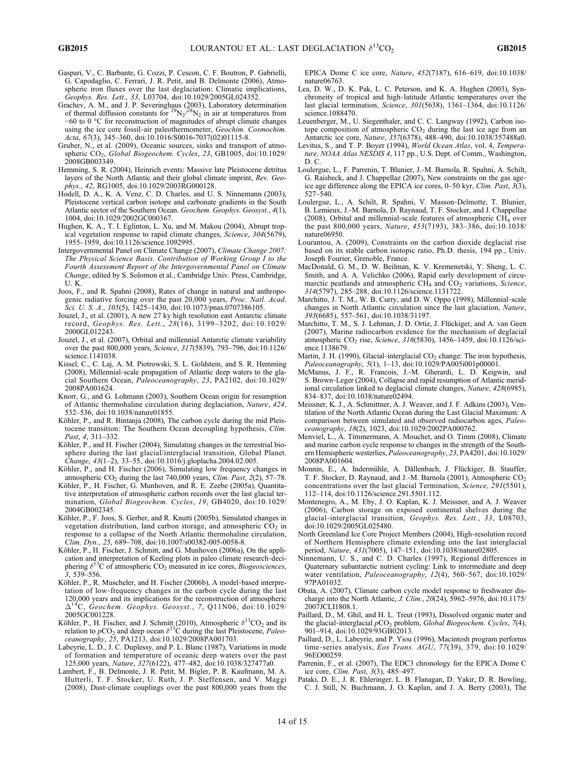- Gaspari, V., C. Barbante, G. Cozzi, P. Cescon, C. F. Boutron, P. Gabrielli, G. Capodaglio, C. Ferrari, J. R. Petit, and B. Delmonte (2006), Atmospheric iron fluxes over the last deglaciation: Climatic implications, Geophys. Res. Lett., 33, L03704, doi:10.1029/2005GL024352.
- Grachev, A. M., and J. P. Severinghaus (2003), Laboratory determination of thermal diffusion constants for  $^{29}N_2/^{28}N_2$  in air at temperatures from −60 to 0 °C for reconstruction of magnitudes of abrupt climate changes using the ice core fossil-air paleothermometer, Geochim. Cosmochim. Acta, 67(3), 345–360, doi:10.1016/S0016-7037(02)01115-8.
- Gruber, N., et al. (2009), Oceanic sources, sinks and transport of atmospheric CO<sub>2</sub>, Global Biogeochem. Cycles, 23, GB1005, doi:10.1029/ 2008GB003349.
- Hemming, S. R. (2004), Heinrich events: Massive late Pleistocene detritus layers of the North Atlantic and their global climate imprint, Rev. Geophys., 42, RG1005, doi:10.1029/2003RG000128.
- Hodell, D. A., K. A. Venz, C. D. Charles, and U. S. Ninnemann (2003), Pleistocene vertical carbon isotope and carbonate gradients in the South Atlantic sector of the Southern Ocean. Geochem. Geophys. Geosyst., 4(1), 1004, doi:10.1029/2002GC000367.
- Hughen, K. A., T. I. Eglinton, L. Xu, and M. Makou (2004), Abrupt tropical vegetation response to rapid climate changes, *Science*,  $304(5679)$ , 1955–1959, doi:10.1126/science.1092995.
- Intergovernmental Panel on Climate Change (2007), Climate Change 2007: The Physical Science Basis. Contribution of Working Group I to the Fourth Assessment Report of the Intergovernmental Panel on Climate Change, edited by S. Solomon et al., Cambridge Univ. Press, Cambridge, U. K.
- Joos, F., and R. Spahni (2008), Rates of change in natural and anthropogenic radiative forcing over the past 20,000 years, Proc. Natl. Acad. Sci. U. S. A., 105(5), 1425–1430, doi:10.1073/pnas.0707386105.
- Jouzel, J., et al. (2001), A new 27 ky high resolution east Antarctic climate record, Geophys. Res. Lett., 28(16), 3199–3202, doi:10.1029/ 2000GL012243.
- Jouzel, J., et al. (2007), Orbital and millennial Antarctic climate variability over the past 800,000 years, Science, 317(5839), 793–796, doi:10.1126/ science.1141038.
- Kissel, C., C. Laj, A. M. Piotrowski, S. L. Goldstein, and S. R. Hemming (2008), Millennial‐scale propagation of Atlantic deep waters to the glacial Southern Ocean, Paleoceanography, 23, PA2102, doi:10.1029/ 2008PA001624.
- Knorr, G., and G. Lohmann (2003), Southern Ocean origin for resumption of Atlantic thermohaline circulation during deglaciation, Nature, 424, 532–536, doi:10.1038/nature01855.
- Köhler, P., and R. Bintanja (2008), The carbon cycle during the mid Pleistocene transition: The Southern Ocean decoupling hypothesis, Clim. Past, 4, 311–332.
- Köhler, P., and H. Fischer (2004), Simulating changes in the terrestrial biosphere during the last glacial/interglacial transition, Global Planet.  $\hat{C}$ hange, 43(1-2), 33-55, doi:10.1016/j.gloplacha.2004.02.005.
- Köhler, P., and H. Fischer (2006), Simulating low frequency changes in atmospheric  $CO<sub>2</sub>$  during the last 740,000 years, *Clim. Past*,  $2(2)$ ,  $57-78$ .
- Köhler, P., H. Fischer, G. Munhoven, and R. E. Zeebe (2005a), Quantitative interpretation of atmospheric carbon records over the last glacial termination, Global Biogeochem. Cycles, 19, GB4020, doi:10.1029/ 2004GB002345.
- Köhler, P., F. Joos, S. Gerber, and R. Knutti (2005b), Simulated changes in vegetation distribution, land carbon storage, and atmospheric  $CO<sub>2</sub>$  in response to a collapse of the North Atlantic thermohaline circulation, Clim. Dyn., 25, 689–708, doi:10.1007/s00382-005-0058-8.
- Köhler, P., H. Fischer, J. Schmitt, and G. Munhoven (2006a), On the application and interpretation of Keeling plots in paleo climate research‐deciphering  $\delta^{13}$ C of atmospheric CO<sub>2</sub> measured in ice cores, *Biogeosciences*, 3, 539–556.
- Köhler, P., R. Muscheler, and H. Fischer (2006b), A model-based interpretation of low‐frequency changes in the carbon cycle during the last 120,000 years and its implications for the reconstruction of atmospheric  $\Delta^{14}$ C, Geochem. Geophys. Geosyst., 7, Q11N06, doi:10.1029/ 2005GC001228.
- Köhler, P., H. Fischer, and J. Schmitt (2010), Atmospheric  $\delta^{13}CO_2$  and its relation to  $pCO_2$  and deep ocean  $\delta^{13}$ C during the last Pleistocene, *Paleo*ceanography, 25, PA1213, doi:10.1029/2008PA001703.
- Labeyrie, L. D., J. C. Duplessy, and P. L. Blanc (1987), Variations in mode of formation and temperature of oceanic deep waters over the past 125,000 years, Nature, 327(6122), 477–482, doi:10.1038/327477a0.
- Lambert, F., B. Delmonte, J. R. Petit, M. Bigler, P. R. Kaufmann, M. A. Hutterli, T. F. Stocker, U. Ruth, J. P. Steffensen, and V. Maggi (2008), Dust‐climate couplings over the past 800,000 years from the

EPICA Dome C ice core, Nature, 452(7187), 616–619, doi:10.1038/ nature06763.

- Lea, D. W., D. K. Pak, L. C. Peterson, and K. A. Hughen (2003), Synchroneity of tropical and high‐latitude Atlantic temperatures over the last glacial termination, Science, 301(5638), 1361–1364, doi:10.1126/ science.1088470.
- Leuenberger, M., U. Siegenthaler, and C. C. Langway (1992), Carbon isotope composition of atmospheric  $CO<sub>2</sub>$  during the last ice age from an Antarctic ice core, Nature, 357(6378), 488–490, doi:10.1038/357488a0.
- Levitus, S., and T. P. Boyer (1994), World Ocean Atlas, vol. 4, Temperature, NOAA Atlas NESDIS 4, 117 pp., U.S. Dept. of Comm., Washington, D. C.
- Loulergue, L., F. Parrenin, T. Blunier, J.‐M. Barnola, R. Spahni, A. Schilt, G. Raisbeck, and J. Chappellaz (2007), New constraints on the gas ageice age difference along the EPICA ice cores, 0–50 kyr, Clim. Past, 3(3), 527–540.
- Loulergue, L., A. Schilt, R. Spahni, V. Masson‐Delmotte, T. Blunier, B. Lemieux, J.‐M. Barnola, D. Raynaud, T. F. Stocker, and J. Chappellaz (2008), Orbital and millennial-scale features of atmospheric CH<sub>4</sub> over the past 800,000 years, Nature, 453(7193), 383–386, doi:10.1038/ nature06950.
- Lourantou, A. (2009), Constraints on the carbon dioxide deglacial rise based on its stable carbon isotopic ratio, Ph.D. thesis, 194 pp., Univ. Joseph Fourier, Grenoble, France.
- MacDonald, G. M., D. W. Beilman, K. V. Kremenetski, Y. Sheng, L. C. Smith, and A. A. Velichko (2006), Rapid early development of circumarctic peatlands and atmospheric  $\text{CH}_4$  and  $\text{CO}_2$  variations, Science, 314(5797), 285–288, doi:10.1126/science.1131722.
- Marchitto, J. T. M., W. B. Curry, and D. W. Oppo (1998), Millennial‐scale changes in North Atlantic circulation since the last glaciation, Nature, 393(6685), 557–561, doi:10.1038/31197.
- Marchitto, T. M., S. J. Lehman, J. D. Ortiz, J. Flückiger, and A. van Geen (2007), Marine radiocarbon evidence for the mechanism of deglacial atmospheric CO<sub>2</sub> rise, Science, 316(5830), 1456-1459, doi:10.1126/science.1138679.
- Martin, J. H. (1990), Glacial-interglacial  $CO<sub>2</sub>$  change: The iron hypothesis, Paleoceanography, 5(1), 1-13, doi:10.1029/PA005i001p00001.
- McManus, J. F., R. Francois, J.‐M. Gherardi, L. D. Keigwin, and S. Brown‐Leger (2004), Collapse and rapid resumption of Atlantic meridional circulation linked to deglacial climate changes, Nature, 428(6985), 834–837, doi:10.1038/nature02494.
- Meissner, K. J., A. Schmittner, A. J. Weaver, and J. F. Adkins (2003), Ventilation of the North Atlantic Ocean during the Last Glacial Maximum: A comparison between simulated and observed radiocarbon ages, Paleoceanography, 18(2), 1023, doi:10.1029/2002PA000762.
- Menviel, L., A. Timmermann, A. Mouchet, and O. Timm (2008), Climate and marine carbon cycle response to changes in the strength of the Southern Hemispheric westerlies, Paleoceanography, 23, PA4201, doi:10.1029/ 2008PA001604.
- Monnin, E., A. Indermühle, A. Dällenbach, J. Flückiger, B. Stauffer, T. F. Stocker, D. Raynaud, and J.-M. Barnola (2001), Atmospheric CO<sub>2</sub> concentrations over the last glacial Termination, Science, 291(5501), 112–114, doi:10.1126/science.291.5501.112.
- Montenegro, A., M. Eby, J. O. Kaplan, K. J. Meissner, and A. J. Weaver (2006), Carbon storage on exposed continental shelves during the glacial-interglacial transition, Geophys. Res. Lett., 33, L08703, doi:10.1029/2005GL025480.
- North Greenland Ice Core Project Members (2004), High‐resolution record of Northern Hemisphere climate extending into the last interglacial period, Nature, 431(7005), 147-151, doi:10.1038/nature02805.
- Ninnemann, U. S., and C. D. Charles (1997), Regional differences in Quaternary subantarctic nutrient cycling: Link to intermediate and deep water ventilation, Paleoceanography, 12(4), 560–567, doi:10.1029/ 97PA01032.
- Obata, A. (2007), Climate carbon cycle model response to freshwater discharge into the North Atlantic, J. Clim., 20(24), 5962–5976, doi:10.1175/ 2007JCLI1808.1.
- Paillard, D., M. Ghil, and H. L. Treut (1993), Dissolved organic mater and the glacial-interglacial  $pCO<sub>2</sub>$  problem, *Global Biogeochem. Cycles*, 7(4), 901–914, doi:10.1029/93GB02013.
- Paillard, D., L. Labeyrie, and P. Yiou (1996), Macintosh program performs time-series analysis, Eos Trans. AGU, 77(39), 379, doi:10.1029/ 96EO00259.
- Parrenin, F., et al. (2007), The EDC3 chronology for the EPICA Dome C ice core, Clim. Past, 3(3), 485–497.
- Pataki, D. E., J. R. Ehleringer, L. B. Flanagan, D. Yakir, D. R. Bowling, C. J. Still, N. Buchmann, J. O. Kaplan, and J. A. Berry (2003), The